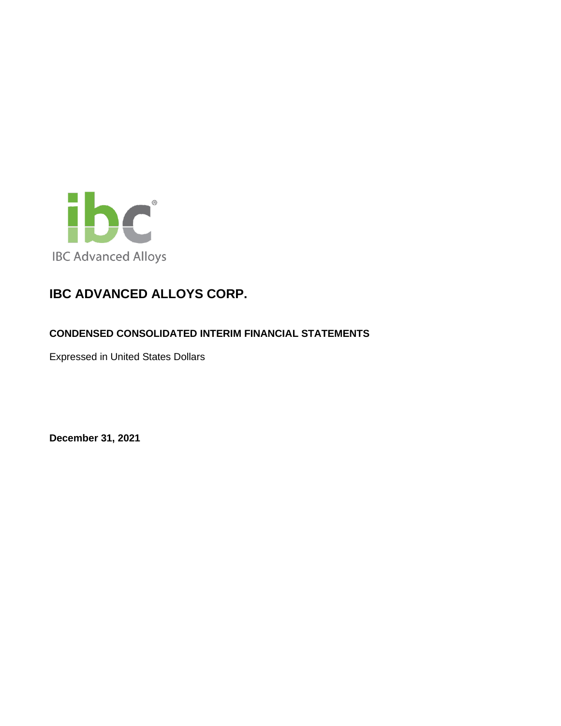

## **CONDENSED CONSOLIDATED INTERIM FINANCIAL STATEMENTS**

Expressed in United States Dollars

**December 31, 2021**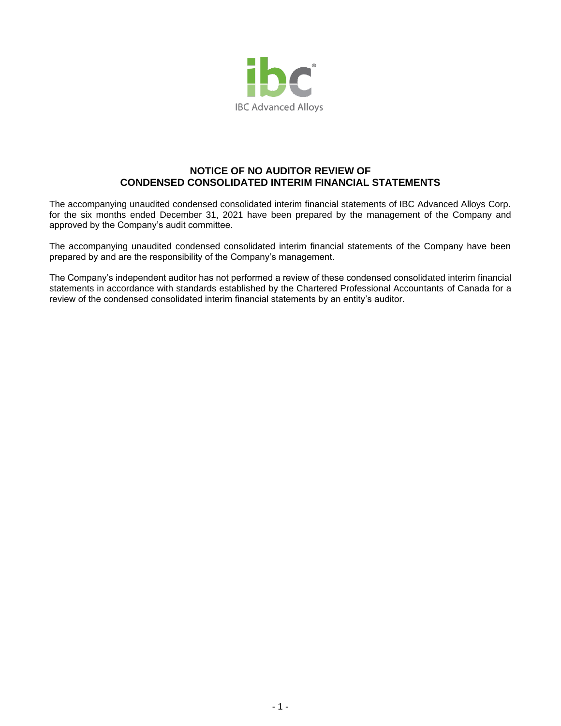

## **NOTICE OF NO AUDITOR REVIEW OF CONDENSED CONSOLIDATED INTERIM FINANCIAL STATEMENTS**

The accompanying unaudited condensed consolidated interim financial statements of IBC Advanced Alloys Corp. for the six months ended December 31, 2021 have been prepared by the management of the Company and approved by the Company's audit committee.

The accompanying unaudited condensed consolidated interim financial statements of the Company have been prepared by and are the responsibility of the Company's management.

The Company's independent auditor has not performed a review of these condensed consolidated interim financial statements in accordance with standards established by the Chartered Professional Accountants of Canada for a review of the condensed consolidated interim financial statements by an entity's auditor.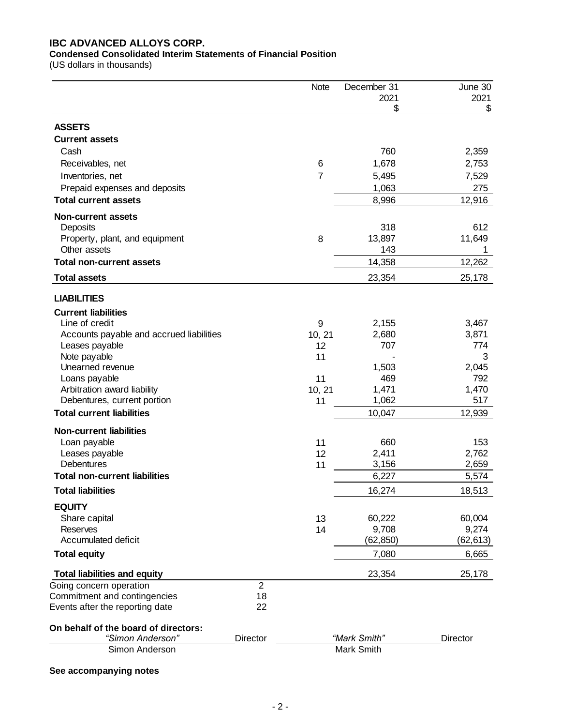## **Condensed Consolidated Interim Statements of Financial Position**

(US dollars in thousands)

|                                                                 |                | <b>Note</b>    | December 31<br>2021 | June 30<br>2021 |
|-----------------------------------------------------------------|----------------|----------------|---------------------|-----------------|
|                                                                 |                |                | \$                  | \$              |
| <b>ASSETS</b>                                                   |                |                |                     |                 |
| <b>Current assets</b>                                           |                |                |                     |                 |
| Cash                                                            |                |                | 760                 | 2,359           |
| Receivables, net                                                |                | 6              | 1,678               | 2,753           |
| Inventories, net                                                |                | $\overline{7}$ | 5,495               | 7,529           |
| Prepaid expenses and deposits<br><b>Total current assets</b>    |                |                | 1,063<br>8,996      | 275<br>12,916   |
|                                                                 |                |                |                     |                 |
| <b>Non-current assets</b><br>Deposits                           |                |                | 318                 | 612             |
| Property, plant, and equipment                                  |                | 8              | 13,897              | 11,649          |
| Other assets                                                    |                |                | 143                 | 1               |
| <b>Total non-current assets</b>                                 |                |                | 14,358              | 12,262          |
| <b>Total assets</b>                                             |                |                | 23,354              | 25,178          |
| <b>LIABILITIES</b>                                              |                |                |                     |                 |
| <b>Current liabilities</b>                                      |                |                |                     |                 |
| Line of credit                                                  |                | 9              | 2,155               | 3,467           |
| Accounts payable and accrued liabilities                        |                | 10, 21         | 2,680               | 3,871           |
| Leases payable                                                  |                | 12             | 707                 | 774             |
| Note payable                                                    |                | 11             |                     | 3               |
| Unearned revenue                                                |                |                | 1,503               | 2,045           |
| Loans payable                                                   |                | 11             | 469                 | 792             |
| Arbitration award liability                                     |                | 10, 21         | 1,471               | 1,470           |
| Debentures, current portion<br><b>Total current liabilities</b> |                | 11             | 1,062               | 517             |
|                                                                 |                |                | 10,047              | 12,939          |
| <b>Non-current liabilities</b>                                  |                |                |                     |                 |
| Loan payable                                                    |                | 11             | 660                 | 153             |
| Leases payable<br>Debentures                                    |                | 12             | 2,411               | 2,762           |
| <b>Total non-current liabilities</b>                            |                | 11             | 3,156<br>6,227      | 2,659<br>5,574  |
| <b>Total liabilities</b>                                        |                |                | 16,274              | 18,513          |
| <b>EQUITY</b>                                                   |                |                |                     |                 |
| Share capital                                                   |                | 13             | 60,222              | 60,004          |
| <b>Reserves</b>                                                 |                | 14             | 9,708               | 9,274           |
| Accumulated deficit                                             |                |                | (62, 850)           | (62, 613)       |
| <b>Total equity</b>                                             |                |                | 7,080               | 6,665           |
| <b>Total liabilities and equity</b>                             |                |                | 23,354              | 25,178          |
| Going concern operation                                         | $\overline{2}$ |                |                     |                 |
| Commitment and contingencies                                    | 18             |                |                     |                 |
| Events after the reporting date                                 | 22             |                |                     |                 |
| On behalf of the board of directors:                            |                |                |                     |                 |
| "Simon Anderson"                                                | Director       |                | "Mark Smith"        | Director        |
| Simon Anderson                                                  |                |                | Mark Smith          |                 |
| See accompanying notes                                          |                |                |                     |                 |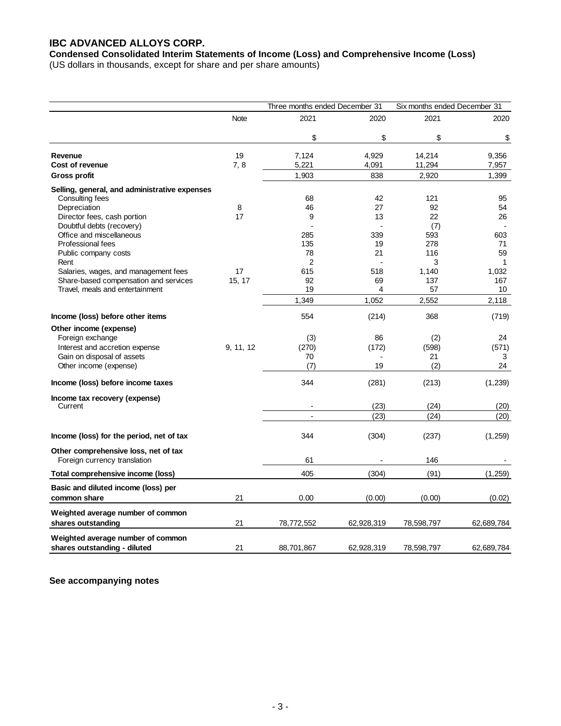**Condensed Consolidated Interim Statements of Income (Loss) and Comprehensive Income (Loss)**

(US dollars in thousands, except for share and per share amounts)

|                                                                      | Three months ended December 31 |                          |            | Six months ended December 31 |              |  |
|----------------------------------------------------------------------|--------------------------------|--------------------------|------------|------------------------------|--------------|--|
|                                                                      | <b>Note</b>                    | 2021                     | 2020       | 2021                         | 2020         |  |
|                                                                      |                                | \$                       | \$         | \$                           | \$           |  |
| Revenue                                                              | 19                             | 7,124                    | 4,929      | 14,214                       | 9,356        |  |
| Cost of revenue                                                      | 7, 8                           | 5,221                    | 4,091      | 11,294                       | 7,957        |  |
| Gross profit                                                         |                                | 1,903                    | 838        | 2,920                        | 1,399        |  |
| Selling, general, and administrative expenses                        |                                |                          |            |                              |              |  |
| Consulting fees                                                      |                                | 68                       | 42         | 121                          | 95           |  |
| Depreciation                                                         | 8                              | 46                       | 27         | 92                           | 54           |  |
| Director fees, cash portion                                          | 17                             | 9                        | 13         | 22                           | 26           |  |
| Doubtful debts (recovery)                                            |                                |                          |            | (7)                          |              |  |
| Office and miscellaneous                                             |                                | 285                      | 339        | 593                          | 603          |  |
| Professional fees                                                    |                                | 135                      | 19         | 278                          | 71           |  |
| Public company costs                                                 |                                | 78                       | 21         | 116                          | 59           |  |
| Rent                                                                 |                                | $\overline{2}$           |            | 3                            | $\mathbf{1}$ |  |
| Salaries, wages, and management fees                                 | 17                             | 615                      | 518        | 1,140                        | 1,032        |  |
| Share-based compensation and services                                | 15, 17                         | 92                       | 69         | 137                          | 167          |  |
| Travel, meals and entertainment                                      |                                | 19                       | 4          | 57                           | 10           |  |
|                                                                      |                                | 1,349                    | 1,052      | 2,552                        | 2,118        |  |
| Income (loss) before other items                                     |                                | 554                      | (214)      | 368                          | (719)        |  |
| Other income (expense)                                               |                                |                          |            |                              |              |  |
| Foreign exchange                                                     |                                | (3)                      | 86         | (2)                          | 24           |  |
| Interest and accretion expense                                       | 9, 11, 12                      | (270)                    | (172)      | (598)                        | (571)        |  |
| Gain on disposal of assets                                           |                                | 70                       |            | 21                           | 3            |  |
| Other income (expense)                                               |                                | (7)                      | 19         | (2)                          | 24           |  |
| Income (loss) before income taxes                                    |                                | 344                      | (281)      | (213)                        | (1, 239)     |  |
| Income tax recovery (expense)                                        |                                |                          |            |                              |              |  |
| Current                                                              |                                | $\overline{\phantom{a}}$ | (23)       | (24)                         | (20)         |  |
|                                                                      |                                | $\overline{a}$           | (23)       | (24)                         | (20)         |  |
| Income (loss) for the period, net of tax                             |                                | 344                      | (304)      | (237)                        | (1,259)      |  |
| Other comprehensive loss, net of tax<br>Foreign currency translation |                                | 61                       |            | 146                          |              |  |
| Total comprehensive income (loss)                                    |                                | 405                      | (304)      | (91)                         | (1,259)      |  |
|                                                                      |                                |                          |            |                              |              |  |
| Basic and diluted income (loss) per<br>common share                  | 21                             | 0.00                     | (0.00)     | (0.00)                       | (0.02)       |  |
| Weighted average number of common                                    |                                |                          |            |                              |              |  |
| shares outstanding                                                   | 21                             | 78,772,552               | 62,928,319 | 78,598,797                   | 62,689,784   |  |
| Weighted average number of common                                    |                                |                          |            |                              |              |  |
| shares outstanding - diluted                                         | 21                             | 88,701,867               | 62,928,319 | 78,598,797                   | 62,689,784   |  |

**See accompanying notes**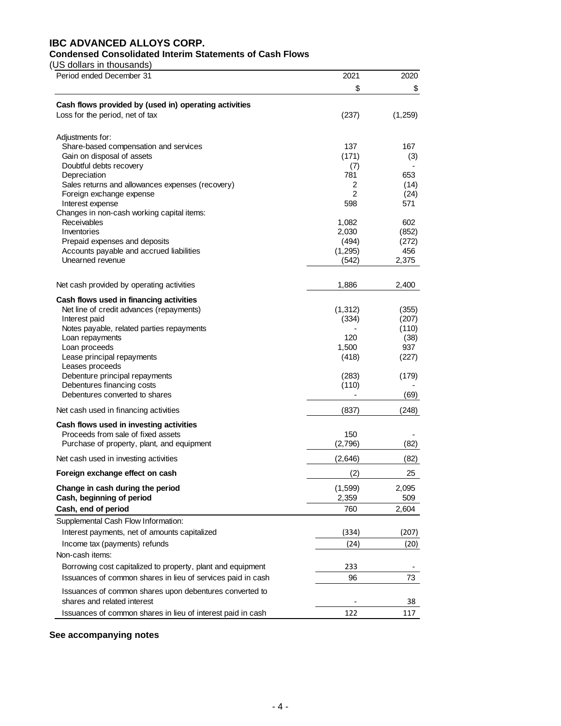## **Condensed Consolidated Interim Statements of Cash Flows**

(US dollars in thousands)

| Period ended December 31                                    | 2021           | 2020           |
|-------------------------------------------------------------|----------------|----------------|
|                                                             | \$             | \$             |
| Cash flows provided by (used in) operating activities       |                |                |
| Loss for the period, net of tax                             | (237)          | (1,259)        |
|                                                             |                |                |
| Adjustments for:                                            |                |                |
| Share-based compensation and services                       | 137            | 167            |
| Gain on disposal of assets<br>Doubtful debts recovery       | (171)          | (3)            |
| Depreciation                                                | (7)<br>781     | 653            |
| Sales returns and allowances expenses (recovery)            | 2              | (14)           |
| Foreign exchange expense                                    | $\overline{2}$ | (24)           |
| Interest expense                                            | 598            | 571            |
| Changes in non-cash working capital items:                  |                |                |
| Receivables                                                 | 1,082          | 602            |
| Inventories<br>Prepaid expenses and deposits                | 2,030<br>(494) | (852)<br>(272) |
| Accounts payable and accrued liabilities                    | (1, 295)       | 456            |
| Unearned revenue                                            | (542)          | 2,375          |
|                                                             |                |                |
| Net cash provided by operating activities                   | 1,886          | 2,400          |
| Cash flows used in financing activities                     |                |                |
| Net line of credit advances (repayments)                    | (1, 312)       | (355)          |
| Interest paid                                               | (334)          | (207)          |
| Notes payable, related parties repayments                   |                | (110)          |
| Loan repayments                                             | 120            | (38)           |
| Loan proceeds<br>Lease principal repayments                 | 1,500          | 937            |
| Leases proceeds                                             | (418)          | (227)          |
| Debenture principal repayments                              | (283)          | (179)          |
| Debentures financing costs                                  | (110)          |                |
| Debentures converted to shares                              |                | (69)           |
| Net cash used in financing activities                       | (837)          | (248)          |
| Cash flows used in investing activities                     |                |                |
| Proceeds from sale of fixed assets                          | 150            |                |
| Purchase of property, plant, and equipment                  | (2,796)        | (82)           |
| Net cash used in investing activities                       | (2,646)        | (82)           |
| Foreign exchange effect on cash                             | (2)            | 25             |
| Change in cash during the period                            | (1,599)        | 2,095          |
| Cash, beginning of period                                   | 2,359          | 509            |
| Cash, end of period                                         | 760            | 2,604          |
| Supplemental Cash Flow Information:                         |                |                |
| Interest payments, net of amounts capitalized               | (334)          | (207)          |
| Income tax (payments) refunds                               | (24)           | (20)           |
| Non-cash items:                                             |                |                |
| Borrowing cost capitalized to property, plant and equipment | 233            |                |
| Issuances of common shares in lieu of services paid in cash | 96             | 73             |
| Issuances of common shares upon debentures converted to     |                |                |
| shares and related interest                                 |                | 38             |
| Issuances of common shares in lieu of interest paid in cash | 122            | 117            |

## **See accompanying notes**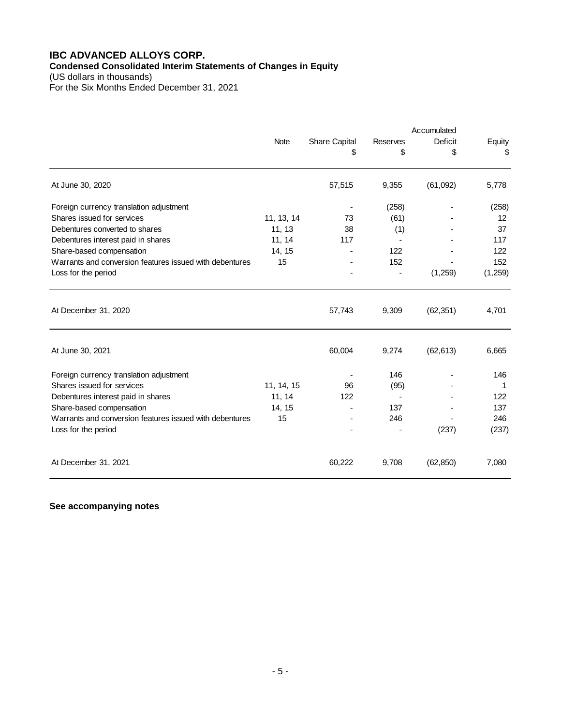## **IBC ADVANCED ALLOYS CORP. Condensed Consolidated Interim Statements of Changes in Equity**

(US dollars in thousands) For the Six Months Ended December 31, 2021

|                                                         |             |               |                 | Accumulated    |         |
|---------------------------------------------------------|-------------|---------------|-----------------|----------------|---------|
|                                                         | <b>Note</b> | Share Capital | <b>Reserves</b> | <b>Deficit</b> | Equity  |
|                                                         |             | \$            | \$              | \$             | \$      |
| At June 30, 2020                                        |             | 57,515        | 9,355           | (61,092)       | 5,778   |
| Foreign currency translation adjustment                 |             |               | (258)           |                | (258)   |
| Shares issued for services                              | 11, 13, 14  | 73            | (61)            |                | 12      |
| Debentures converted to shares                          | 11, 13      | 38            | (1)             |                | 37      |
| Debentures interest paid in shares                      | 11, 14      | 117           |                 |                | 117     |
| Share-based compensation                                | 14, 15      |               | 122             |                | 122     |
| Warrants and conversion features issued with debentures | 15          |               | 152             |                | 152     |
| Loss for the period                                     |             |               | -               | (1,259)        | (1,259) |
| At December 31, 2020                                    |             | 57,743        | 9,309           | (62, 351)      | 4,701   |
| At June 30, 2021                                        |             | 60,004        | 9,274           | (62, 613)      | 6,665   |
| Foreign currency translation adjustment                 |             |               | 146             |                | 146     |
| Shares issued for services                              | 11, 14, 15  | 96            | (95)            |                | 1       |
| Debentures interest paid in shares                      | 11, 14      | 122           |                 |                | 122     |
| Share-based compensation                                | 14, 15      |               | 137             |                | 137     |
| Warrants and conversion features issued with debentures | 15          |               | 246             |                | 246     |
| Loss for the period                                     |             |               |                 | (237)          | (237)   |
| At December 31, 2021                                    |             | 60,222        | 9,708           | (62, 850)      | 7,080   |

**See accompanying notes**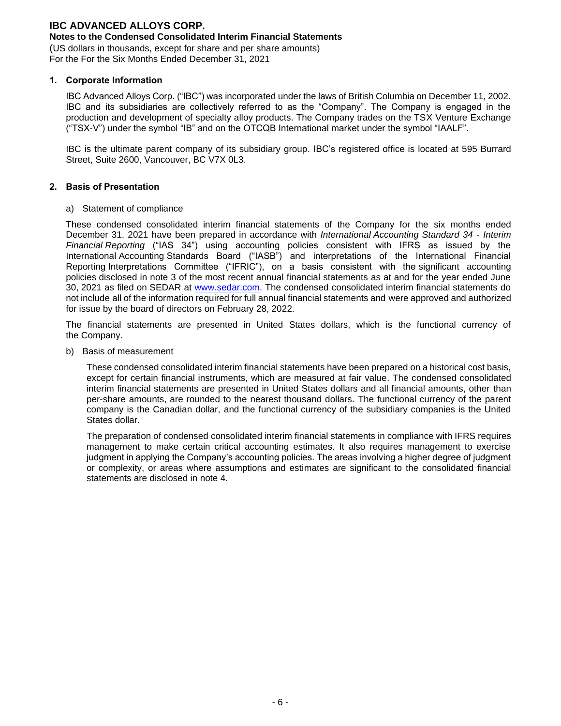### **Notes to the Condensed Consolidated Interim Financial Statements**

(US dollars in thousands, except for share and per share amounts) For the For the Six Months Ended December 31, 2021

#### **1. Corporate Information**

IBC Advanced Alloys Corp. ("IBC") was incorporated under the laws of British Columbia on December 11, 2002. IBC and its subsidiaries are collectively referred to as the "Company". The Company is engaged in the production and development of specialty alloy products. The Company trades on the TSX Venture Exchange ("TSX-V") under the symbol "IB" and on the OTCQB International market under the symbol "IAALF".

IBC is the ultimate parent company of its subsidiary group. IBC's registered office is located at 595 Burrard Street, Suite 2600, Vancouver, BC V7X 0L3.

#### **2. Basis of Presentation**

#### a) Statement of compliance

These condensed consolidated interim financial statements of the Company for the six months ended December 31, 2021 have been prepared in accordance with *International Accounting Standard 34 - Interim Financial Reporting* ("IAS 34") using accounting policies consistent with IFRS as issued by the International Accounting Standards Board ("IASB") and interpretations of the International Financial Reporting Interpretations Committee ("IFRIC"), on a basis consistent with the significant accounting policies disclosed in note 3 of the most recent annual financial statements as at and for the year ended June 30, 2021 as filed on SEDAR at [www.sedar.com.](http://www.sedar.com/) The condensed consolidated interim financial statements do not include all of the information required for full annual financial statements and were approved and authorized for issue by the board of directors on February 28, 2022.

The financial statements are presented in United States dollars, which is the functional currency of the Company.

b) Basis of measurement

These condensed consolidated interim financial statements have been prepared on a historical cost basis, except for certain financial instruments, which are measured at fair value. The condensed consolidated interim financial statements are presented in United States dollars and all financial amounts, other than per-share amounts, are rounded to the nearest thousand dollars. The functional currency of the parent company is the Canadian dollar, and the functional currency of the subsidiary companies is the United States dollar.

The preparation of condensed consolidated interim financial statements in compliance with IFRS requires management to make certain critical accounting estimates. It also requires management to exercise judgment in applying the Company's accounting policies. The areas involving a higher degree of judgment or complexity, or areas where assumptions and estimates are significant to the consolidated financial statements are disclosed in note 4.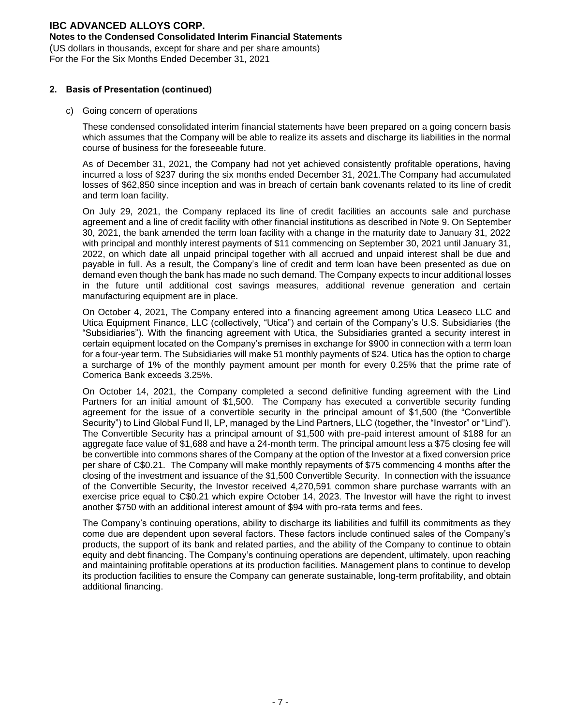#### **Notes to the Condensed Consolidated Interim Financial Statements**

(US dollars in thousands, except for share and per share amounts) For the For the Six Months Ended December 31, 2021

#### **2. Basis of Presentation (continued)**

#### c) Going concern of operations

These condensed consolidated interim financial statements have been prepared on a going concern basis which assumes that the Company will be able to realize its assets and discharge its liabilities in the normal course of business for the foreseeable future.

As of December 31, 2021, the Company had not yet achieved consistently profitable operations, having incurred a loss of \$237 during the six months ended December 31, 2021.The Company had accumulated losses of \$62,850 since inception and was in breach of certain bank covenants related to its line of credit and term loan facility.

On July 29, 2021, the Company replaced its line of credit facilities an accounts sale and purchase agreement and a line of credit facility with other financial institutions as described in Note 9. On September 30, 2021, the bank amended the term loan facility with a change in the maturity date to January 31, 2022 with principal and monthly interest payments of \$11 commencing on September 30, 2021 until January 31, 2022, on which date all unpaid principal together with all accrued and unpaid interest shall be due and payable in full. As a result, the Company's line of credit and term loan have been presented as due on demand even though the bank has made no such demand. The Company expects to incur additional losses in the future until additional cost savings measures, additional revenue generation and certain manufacturing equipment are in place.

On October 4, 2021, The Company entered into a financing agreement among Utica Leaseco LLC and Utica Equipment Finance, LLC (collectively, "Utica") and certain of the Company's U.S. Subsidiaries (the "Subsidiaries"). With the financing agreement with Utica, the Subsidiaries granted a security interest in certain equipment located on the Company's premises in exchange for \$900 in connection with a term loan for a four-year term. The Subsidiaries will make 51 monthly payments of \$24. Utica has the option to charge a surcharge of 1% of the monthly payment amount per month for every 0.25% that the prime rate of Comerica Bank exceeds 3.25%.

On October 14, 2021, the Company completed a second definitive funding agreement with the Lind Partners for an initial amount of \$1,500. The Company has executed a convertible security funding agreement for the issue of a convertible security in the principal amount of \$1,500 (the "Convertible Security") to Lind Global Fund II, LP, managed by the Lind Partners, LLC (together, the "Investor" or "Lind"). The Convertible Security has a principal amount of \$1,500 with pre-paid interest amount of \$188 for an aggregate face value of \$1,688 and have a 24-month term. The principal amount less a \$75 closing fee will be convertible into commons shares of the Company at the option of the Investor at a fixed conversion price per share of C\$0.21. The Company will make monthly repayments of \$75 commencing 4 months after the closing of the investment and issuance of the \$1,500 Convertible Security. In connection with the issuance of the Convertible Security, the Investor received 4,270,591 common share purchase warrants with an exercise price equal to C\$0.21 which expire October 14, 2023. The Investor will have the right to invest another \$750 with an additional interest amount of \$94 with pro-rata terms and fees.

The Company's continuing operations, ability to discharge its liabilities and fulfill its commitments as they come due are dependent upon several factors. These factors include continued sales of the Company's products, the support of its bank and related parties, and the ability of the Company to continue to obtain equity and debt financing. The Company's continuing operations are dependent, ultimately, upon reaching and maintaining profitable operations at its production facilities. Management plans to continue to develop its production facilities to ensure the Company can generate sustainable, long-term profitability, and obtain additional financing.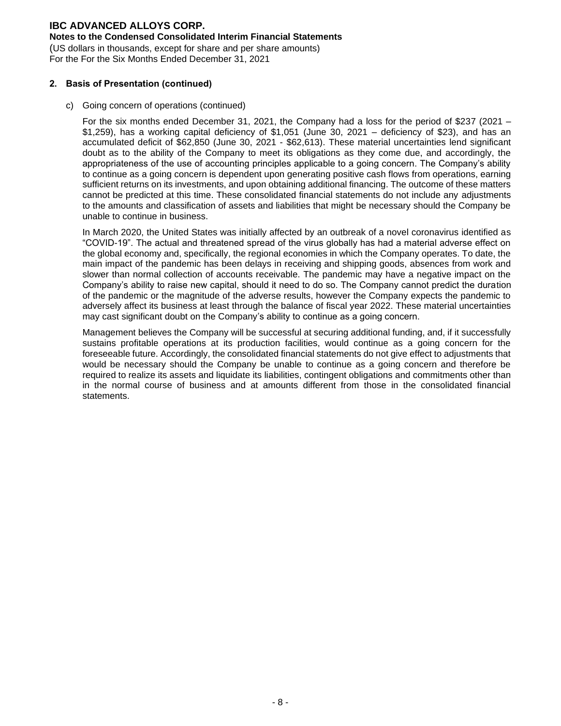#### **Notes to the Condensed Consolidated Interim Financial Statements**

(US dollars in thousands, except for share and per share amounts) For the For the Six Months Ended December 31, 2021

#### **2. Basis of Presentation (continued)**

c) Going concern of operations (continued)

For the six months ended December 31, 2021, the Company had a loss for the period of \$237 (2021 – \$1,259), has a working capital deficiency of \$1,051 (June 30, 2021 – deficiency of \$23), and has an accumulated deficit of \$62,850 (June 30, 2021 - \$62,613). These material uncertainties lend significant doubt as to the ability of the Company to meet its obligations as they come due, and accordingly, the appropriateness of the use of accounting principles applicable to a going concern. The Company's ability to continue as a going concern is dependent upon generating positive cash flows from operations, earning sufficient returns on its investments, and upon obtaining additional financing. The outcome of these matters cannot be predicted at this time. These consolidated financial statements do not include any adjustments to the amounts and classification of assets and liabilities that might be necessary should the Company be unable to continue in business.

In March 2020, the United States was initially affected by an outbreak of a novel coronavirus identified as "COVID-19". The actual and threatened spread of the virus globally has had a material adverse effect on the global economy and, specifically, the regional economies in which the Company operates. To date, the main impact of the pandemic has been delays in receiving and shipping goods, absences from work and slower than normal collection of accounts receivable. The pandemic may have a negative impact on the Company's ability to raise new capital, should it need to do so. The Company cannot predict the duration of the pandemic or the magnitude of the adverse results, however the Company expects the pandemic to adversely affect its business at least through the balance of fiscal year 2022. These material uncertainties may cast significant doubt on the Company's ability to continue as a going concern.

Management believes the Company will be successful at securing additional funding, and, if it successfully sustains profitable operations at its production facilities, would continue as a going concern for the foreseeable future. Accordingly, the consolidated financial statements do not give effect to adjustments that would be necessary should the Company be unable to continue as a going concern and therefore be required to realize its assets and liquidate its liabilities, contingent obligations and commitments other than in the normal course of business and at amounts different from those in the consolidated financial statements.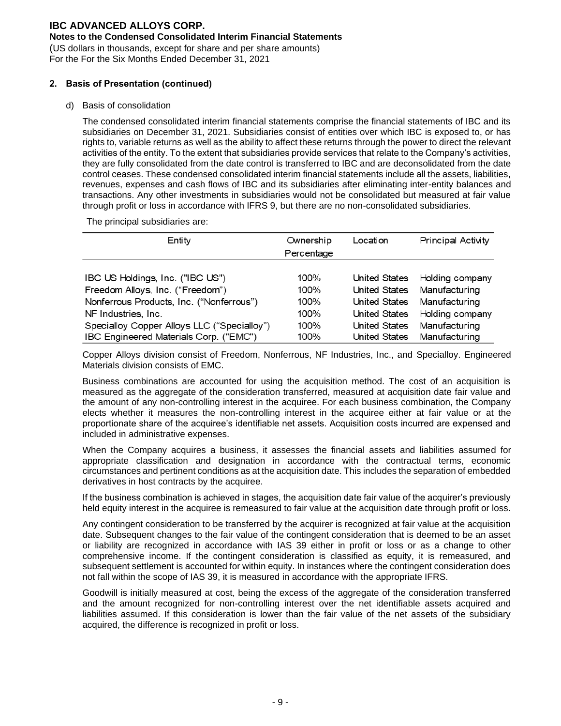### **Notes to the Condensed Consolidated Interim Financial Statements**

(US dollars in thousands, except for share and per share amounts) For the For the Six Months Ended December 31, 2021

#### **2. Basis of Presentation (continued)**

#### d) Basis of consolidation

The condensed consolidated interim financial statements comprise the financial statements of IBC and its subsidiaries on December 31, 2021. Subsidiaries consist of entities over which IBC is exposed to, or has rights to, variable returns as well as the ability to affect these returns through the power to direct the relevant activities of the entity. To the extent that subsidiaries provide services that relate to the Company's activities, they are fully consolidated from the date control is transferred to IBC and are deconsolidated from the date control ceases. These condensed consolidated interim financial statements include all the assets, liabilities, revenues, expenses and cash flows of IBC and its subsidiaries after eliminating inter-entity balances and transactions. Any other investments in subsidiaries would not be consolidated but measured at fair value through profit or loss in accordance with IFRS 9, but there are no non-consolidated subsidiaries.

The principal subsidiaries are:

| Entity                                      | Ownership  | Location             | <b>Principal Activity</b>   |
|---------------------------------------------|------------|----------------------|-----------------------------|
|                                             | Percentage |                      |                             |
|                                             | 100%       |                      |                             |
| IBC US Holdings, Inc. ("IBC US")            |            | United States        | Holding company             |
| Freedom Alloys, Inc. ("Freedom")            | 100%       |                      | United States Manufacturing |
| Nonferrous Products, Inc. ("Nonferrous")    | 100%       | United States        | Manufacturing               |
| NF Industries, Inc.                         | 100%       | United States        | Holding company             |
| Specialloy Copper Alloys LLC ("Specialloy") | 100%       | United States        | Manufacturing               |
| IBC Engineered Materials Corp. ("EMC")      | 100%       | <b>United States</b> | Manufacturing               |

Copper Alloys division consist of Freedom, Nonferrous, NF Industries, Inc., and Specialloy. Engineered Materials division consists of EMC.

Business combinations are accounted for using the acquisition method. The cost of an acquisition is measured as the aggregate of the consideration transferred, measured at acquisition date fair value and the amount of any non-controlling interest in the acquiree. For each business combination, the Company elects whether it measures the non-controlling interest in the acquiree either at fair value or at the proportionate share of the acquiree's identifiable net assets. Acquisition costs incurred are expensed and included in administrative expenses.

When the Company acquires a business, it assesses the financial assets and liabilities assumed for appropriate classification and designation in accordance with the contractual terms, economic circumstances and pertinent conditions as at the acquisition date. This includes the separation of embedded derivatives in host contracts by the acquiree.

If the business combination is achieved in stages, the acquisition date fair value of the acquirer's previously held equity interest in the acquiree is remeasured to fair value at the acquisition date through profit or loss.

Any contingent consideration to be transferred by the acquirer is recognized at fair value at the acquisition date. Subsequent changes to the fair value of the contingent consideration that is deemed to be an asset or liability are recognized in accordance with IAS 39 either in profit or loss or as a change to other comprehensive income. If the contingent consideration is classified as equity, it is remeasured, and subsequent settlement is accounted for within equity. In instances where the contingent consideration does not fall within the scope of IAS 39, it is measured in accordance with the appropriate IFRS.

Goodwill is initially measured at cost, being the excess of the aggregate of the consideration transferred and the amount recognized for non-controlling interest over the net identifiable assets acquired and liabilities assumed. If this consideration is lower than the fair value of the net assets of the subsidiary acquired, the difference is recognized in profit or loss.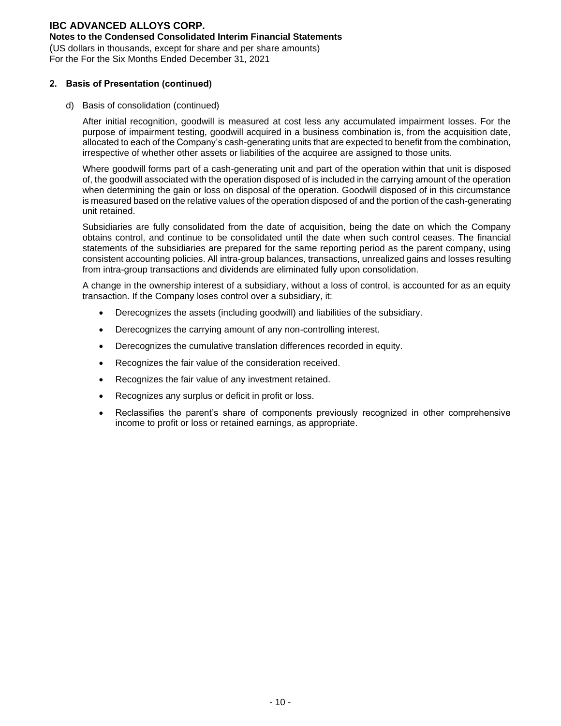#### **Notes to the Condensed Consolidated Interim Financial Statements**

(US dollars in thousands, except for share and per share amounts) For the For the Six Months Ended December 31, 2021

#### **2. Basis of Presentation (continued)**

d) Basis of consolidation (continued)

After initial recognition, goodwill is measured at cost less any accumulated impairment losses. For the purpose of impairment testing, goodwill acquired in a business combination is, from the acquisition date, allocated to each of the Company's cash-generating units that are expected to benefit from the combination, irrespective of whether other assets or liabilities of the acquiree are assigned to those units.

Where goodwill forms part of a cash-generating unit and part of the operation within that unit is disposed of, the goodwill associated with the operation disposed of is included in the carrying amount of the operation when determining the gain or loss on disposal of the operation. Goodwill disposed of in this circumstance is measured based on the relative values of the operation disposed of and the portion of the cash-generating unit retained.

Subsidiaries are fully consolidated from the date of acquisition, being the date on which the Company obtains control, and continue to be consolidated until the date when such control ceases. The financial statements of the subsidiaries are prepared for the same reporting period as the parent company, using consistent accounting policies. All intra-group balances, transactions, unrealized gains and losses resulting from intra-group transactions and dividends are eliminated fully upon consolidation.

A change in the ownership interest of a subsidiary, without a loss of control, is accounted for as an equity transaction. If the Company loses control over a subsidiary, it:

- Derecognizes the assets (including goodwill) and liabilities of the subsidiary.
- Derecognizes the carrying amount of any non-controlling interest.
- Derecognizes the cumulative translation differences recorded in equity.
- Recognizes the fair value of the consideration received.
- Recognizes the fair value of any investment retained.
- Recognizes any surplus or deficit in profit or loss.
- Reclassifies the parent's share of components previously recognized in other comprehensive income to profit or loss or retained earnings, as appropriate.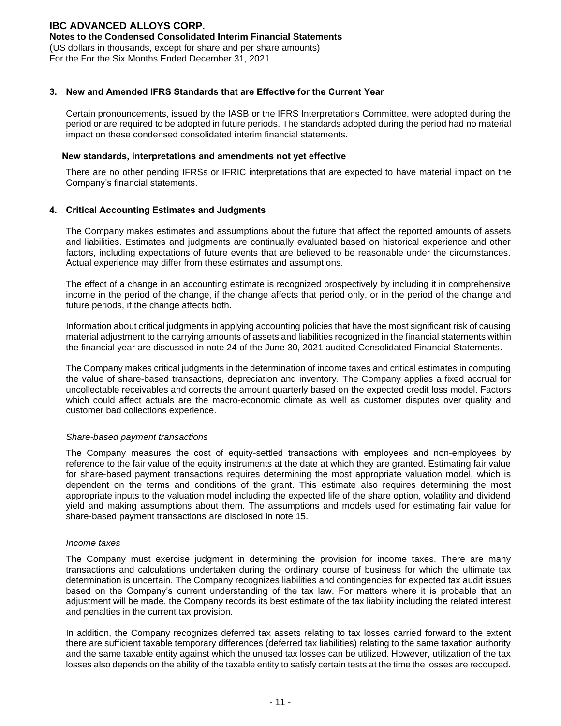### **Notes to the Condensed Consolidated Interim Financial Statements**

(US dollars in thousands, except for share and per share amounts) For the For the Six Months Ended December 31, 2021

#### **3. New and Amended IFRS Standards that are Effective for the Current Year**

Certain pronouncements, issued by the IASB or the IFRS Interpretations Committee, were adopted during the period or are required to be adopted in future periods. The standards adopted during the period had no material impact on these condensed consolidated interim financial statements.

#### **New standards, interpretations and amendments not yet effective**

There are no other pending IFRSs or IFRIC interpretations that are expected to have material impact on the Company's financial statements.

### **4. Critical Accounting Estimates and Judgments**

The Company makes estimates and assumptions about the future that affect the reported amounts of assets and liabilities. Estimates and judgments are continually evaluated based on historical experience and other factors, including expectations of future events that are believed to be reasonable under the circumstances. Actual experience may differ from these estimates and assumptions.

The effect of a change in an accounting estimate is recognized prospectively by including it in comprehensive income in the period of the change, if the change affects that period only, or in the period of the change and future periods, if the change affects both.

Information about critical judgments in applying accounting policies that have the most significant risk of causing material adjustment to the carrying amounts of assets and liabilities recognized in the financial statements within the financial year are discussed in note 24 of the June 30, 2021 audited Consolidated Financial Statements.

The Company makes critical judgments in the determination of income taxes and critical estimates in computing the value of share-based transactions, depreciation and inventory. The Company applies a fixed accrual for uncollectable receivables and corrects the amount quarterly based on the expected credit loss model. Factors which could affect actuals are the macro-economic climate as well as customer disputes over quality and customer bad collections experience.

#### *Share-based payment transactions*

The Company measures the cost of equity-settled transactions with employees and non-employees by reference to the fair value of the equity instruments at the date at which they are granted. Estimating fair value for share-based payment transactions requires determining the most appropriate valuation model, which is dependent on the terms and conditions of the grant. This estimate also requires determining the most appropriate inputs to the valuation model including the expected life of the share option, volatility and dividend yield and making assumptions about them. The assumptions and models used for estimating fair value for share-based payment transactions are disclosed in note 15.

#### *Income taxes*

The Company must exercise judgment in determining the provision for income taxes. There are many transactions and calculations undertaken during the ordinary course of business for which the ultimate tax determination is uncertain. The Company recognizes liabilities and contingencies for expected tax audit issues based on the Company's current understanding of the tax law. For matters where it is probable that an adjustment will be made, the Company records its best estimate of the tax liability including the related interest and penalties in the current tax provision.

In addition, the Company recognizes deferred tax assets relating to tax losses carried forward to the extent there are sufficient taxable temporary differences (deferred tax liabilities) relating to the same taxation authority and the same taxable entity against which the unused tax losses can be utilized. However, utilization of the tax losses also depends on the ability of the taxable entity to satisfy certain tests at the time the losses are recouped.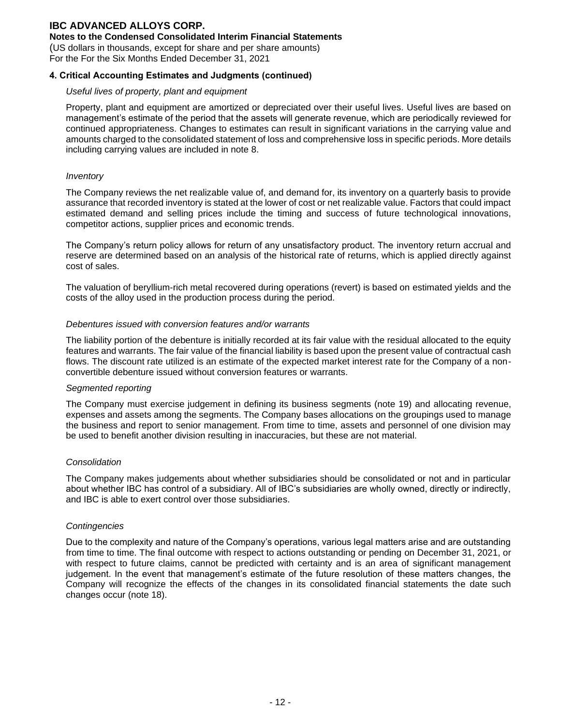### **Notes to the Condensed Consolidated Interim Financial Statements**

(US dollars in thousands, except for share and per share amounts)

For the For the Six Months Ended December 31, 2021

### **4. Critical Accounting Estimates and Judgments (continued)**

#### *Useful lives of property, plant and equipment*

Property, plant and equipment are amortized or depreciated over their useful lives. Useful lives are based on management's estimate of the period that the assets will generate revenue, which are periodically reviewed for continued appropriateness. Changes to estimates can result in significant variations in the carrying value and amounts charged to the consolidated statement of loss and comprehensive loss in specific periods. More details including carrying values are included in note 8.

#### *Inventory*

The Company reviews the net realizable value of, and demand for, its inventory on a quarterly basis to provide assurance that recorded inventory is stated at the lower of cost or net realizable value. Factors that could impact estimated demand and selling prices include the timing and success of future technological innovations, competitor actions, supplier prices and economic trends.

The Company's return policy allows for return of any unsatisfactory product. The inventory return accrual and reserve are determined based on an analysis of the historical rate of returns, which is applied directly against cost of sales.

The valuation of beryllium-rich metal recovered during operations (revert) is based on estimated yields and the costs of the alloy used in the production process during the period.

#### *Debentures issued with conversion features and/or warrants*

The liability portion of the debenture is initially recorded at its fair value with the residual allocated to the equity features and warrants. The fair value of the financial liability is based upon the present value of contractual cash flows. The discount rate utilized is an estimate of the expected market interest rate for the Company of a nonconvertible debenture issued without conversion features or warrants.

#### *Segmented reporting*

The Company must exercise judgement in defining its business segments (note 19) and allocating revenue, expenses and assets among the segments. The Company bases allocations on the groupings used to manage the business and report to senior management. From time to time, assets and personnel of one division may be used to benefit another division resulting in inaccuracies, but these are not material.

#### *Consolidation*

The Company makes judgements about whether subsidiaries should be consolidated or not and in particular about whether IBC has control of a subsidiary. All of IBC's subsidiaries are wholly owned, directly or indirectly, and IBC is able to exert control over those subsidiaries.

#### *Contingencies*

Due to the complexity and nature of the Company's operations, various legal matters arise and are outstanding from time to time. The final outcome with respect to actions outstanding or pending on December 31, 2021, or with respect to future claims, cannot be predicted with certainty and is an area of significant management judgement. In the event that management's estimate of the future resolution of these matters changes, the Company will recognize the effects of the changes in its consolidated financial statements the date such changes occur (note 18).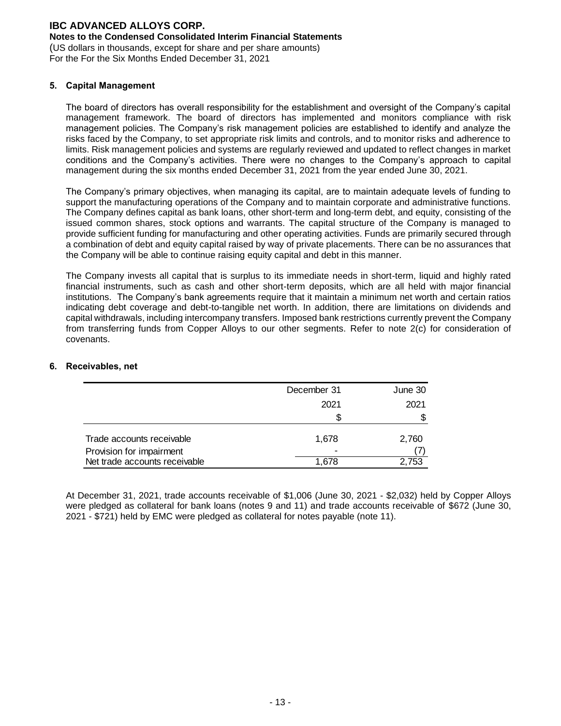### **Notes to the Condensed Consolidated Interim Financial Statements**

(US dollars in thousands, except for share and per share amounts) For the For the Six Months Ended December 31, 2021

#### **5. Capital Management**

The board of directors has overall responsibility for the establishment and oversight of the Company's capital management framework. The board of directors has implemented and monitors compliance with risk management policies. The Company's risk management policies are established to identify and analyze the risks faced by the Company, to set appropriate risk limits and controls, and to monitor risks and adherence to limits. Risk management policies and systems are regularly reviewed and updated to reflect changes in market conditions and the Company's activities. There were no changes to the Company's approach to capital management during the six months ended December 31, 2021 from the year ended June 30, 2021.

The Company's primary objectives, when managing its capital, are to maintain adequate levels of funding to support the manufacturing operations of the Company and to maintain corporate and administrative functions. The Company defines capital as bank loans, other short-term and long-term debt, and equity, consisting of the issued common shares, stock options and warrants. The capital structure of the Company is managed to provide sufficient funding for manufacturing and other operating activities. Funds are primarily secured through a combination of debt and equity capital raised by way of private placements. There can be no assurances that the Company will be able to continue raising equity capital and debt in this manner.

The Company invests all capital that is surplus to its immediate needs in short-term, liquid and highly rated financial instruments, such as cash and other short-term deposits, which are all held with major financial institutions. The Company's bank agreements require that it maintain a minimum net worth and certain ratios indicating debt coverage and debt-to-tangible net worth. In addition, there are limitations on dividends and capital withdrawals, including intercompany transfers. Imposed bank restrictions currently prevent the Company from transferring funds from Copper Alloys to our other segments. Refer to note 2(c) for consideration of covenants.

|                                                       | December 31 | June 30 |
|-------------------------------------------------------|-------------|---------|
|                                                       | 2021        | 2021    |
|                                                       |             | S       |
| Trade accounts receivable<br>Provision for impairment | 1.678<br>-  | 2,760   |
| Net trade accounts receivable                         | 1.678       | 2.753   |

### **6. Receivables, net**

At December 31, 2021, trade accounts receivable of \$1,006 (June 30, 2021 - \$2,032) held by Copper Alloys were pledged as collateral for bank loans (notes 9 and 11) and trade accounts receivable of \$672 (June 30, 2021 - \$721) held by EMC were pledged as collateral for notes payable (note 11).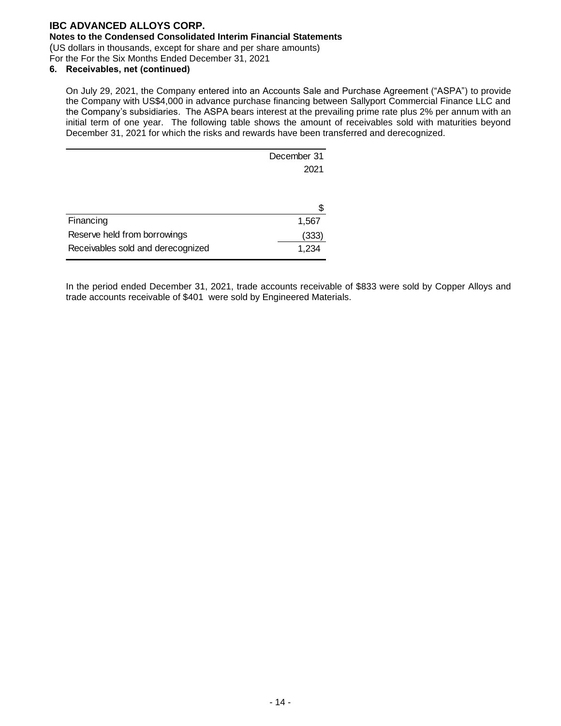### **Notes to the Condensed Consolidated Interim Financial Statements**

(US dollars in thousands, except for share and per share amounts)

For the For the Six Months Ended December 31, 2021

## **6. Receivables, net (continued)**

On July 29, 2021, the Company entered into an Accounts Sale and Purchase Agreement ("ASPA") to provide the Company with US\$4,000 in advance purchase financing between Sallyport Commercial Finance LLC and the Company's subsidiaries. The ASPA bears interest at the prevailing prime rate plus 2% per annum with an initial term of one year. The following table shows the amount of receivables sold with maturities beyond December 31, 2021 for which the risks and rewards have been transferred and derecognized.

| December 31 |
|-------------|
| 2021        |
|             |
|             |
|             |
| 1,567       |
| (333)       |
| 1,234       |
|             |

In the period ended December 31, 2021, trade accounts receivable of \$833 were sold by Copper Alloys and trade accounts receivable of \$401 were sold by Engineered Materials.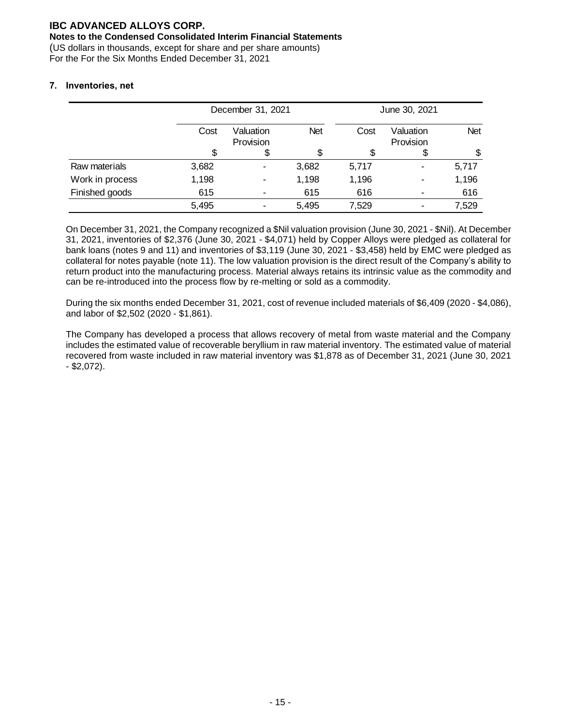### **Notes to the Condensed Consolidated Interim Financial Statements**

(US dollars in thousands, except for share and per share amounts) For the For the Six Months Ended December 31, 2021

### **7. Inventories, net**

|                 |       | December 31, 2021      |            |       | June 30, 2021          |            |
|-----------------|-------|------------------------|------------|-------|------------------------|------------|
|                 | Cost  | Valuation<br>Provision | <b>Net</b> | Cost  | Valuation<br>Provision | <b>Net</b> |
|                 |       |                        |            |       |                        | \$         |
| Raw materials   | 3,682 | $\blacksquare$         | 3,682      | 5,717 | ۰                      | 5,717      |
| Work in process | 1,198 | -                      | 1,198      | 1,196 |                        | 1,196      |
| Finished goods  | 615   |                        | 615        | 616   |                        | 616        |
|                 | 5,495 |                        | 5,495      | 7,529 |                        | 7,529      |

On December 31, 2021, the Company recognized a \$Nil valuation provision (June 30, 2021 - \$Nil). At December 31, 2021, inventories of \$2,376 (June 30, 2021 - \$4,071) held by Copper Alloys were pledged as collateral for bank loans (notes 9 and 11) and inventories of \$3,119 (June 30, 2021 - \$3,458) held by EMC were pledged as collateral for notes payable (note 11). The low valuation provision is the direct result of the Company's ability to return product into the manufacturing process. Material always retains its intrinsic value as the commodity and can be re-introduced into the process flow by re-melting or sold as a commodity.

During the six months ended December 31, 2021, cost of revenue included materials of \$6,409 (2020 - \$4,086), and labor of \$2,502 (2020 - \$1,861).

The Company has developed a process that allows recovery of metal from waste material and the Company includes the estimated value of recoverable beryllium in raw material inventory. The estimated value of material recovered from waste included in raw material inventory was \$1,878 as of December 31, 2021 (June 30, 2021 - \$2,072).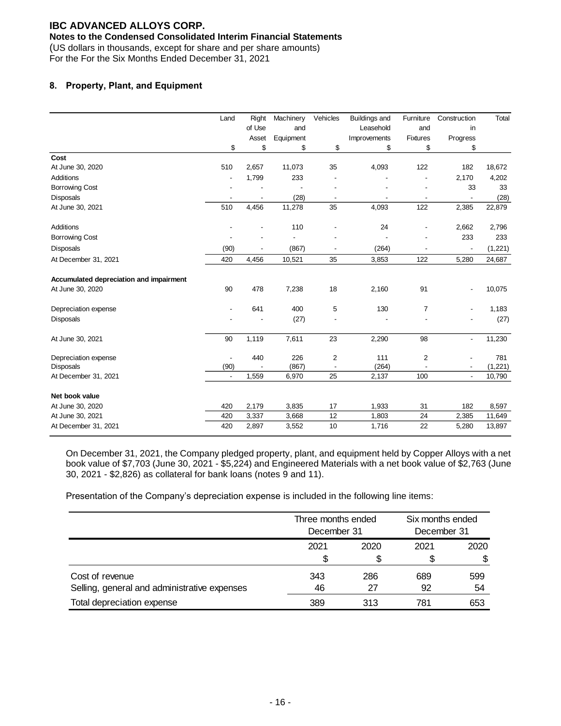### **Notes to the Condensed Consolidated Interim Financial Statements**

(US dollars in thousands, except for share and per share amounts)

For the For the Six Months Ended December 31, 2021

### **8. Property, Plant, and Equipment**

|                                         | Land                     | Right  | Machinery | Vehicles       | <b>Buildings and</b> | Furniture                | Construction             | Total   |
|-----------------------------------------|--------------------------|--------|-----------|----------------|----------------------|--------------------------|--------------------------|---------|
|                                         |                          | of Use | and       |                | Leasehold            | and                      | in                       |         |
|                                         |                          | Asset  | Equipment |                | Improvements         | <b>Fixtures</b>          | Progress                 |         |
|                                         | \$                       | \$     | \$        | \$             | \$                   | \$                       | \$                       |         |
| Cost                                    |                          |        |           |                |                      |                          |                          |         |
| At June 30, 2020                        | 510                      | 2,657  | 11,073    | 35             | 4,093                | 122                      | 182                      | 18,672  |
| Additions                               |                          | 1,799  | 233       |                |                      |                          | 2,170                    | 4,202   |
| <b>Borrowing Cost</b>                   |                          |        |           |                |                      |                          | 33                       | 33      |
| <b>Disposals</b>                        |                          |        | (28)      |                |                      |                          |                          | (28)    |
| At June 30, 2021                        | 510                      | 4,456  | 11,278    | 35             | 4,093                | 122                      | 2,385                    | 22,879  |
| Additions                               |                          |        | 110       |                | 24                   | $\overline{\phantom{a}}$ | 2,662                    | 2,796   |
| <b>Borrowing Cost</b>                   |                          |        |           |                |                      |                          | 233                      | 233     |
| <b>Disposals</b>                        | (90)                     |        | (867)     |                | (264)                | $\overline{\phantom{a}}$ |                          | (1,221) |
| At December 31, 2021                    | 420                      | 4,456  | 10,521    | 35             | 3,853                | 122                      | 5,280                    | 24,687  |
| Accumulated depreciation and impairment |                          |        |           |                |                      |                          |                          |         |
| At June 30, 2020                        | 90                       | 478    | 7,238     | 18             | 2,160                | 91                       |                          | 10,075  |
| Depreciation expense                    |                          | 641    | 400       | 5              | 130                  | $\overline{7}$           |                          | 1,183   |
| <b>Disposals</b>                        |                          |        | (27)      |                |                      |                          |                          | (27)    |
| At June 30, 2021                        | 90                       | 1,119  | 7,611     | 23             | 2,290                | 98                       | $\overline{\phantom{a}}$ | 11,230  |
| Depreciation expense                    |                          | 440    | 226       | $\overline{2}$ | 111                  | $\overline{\mathbf{c}}$  |                          | 781     |
| <b>Disposals</b>                        | (90)                     |        | (867)     |                | (264)                |                          |                          | (1,221) |
| At December 31, 2021                    | $\overline{\phantom{a}}$ | 1,559  | 6,970     | 25             | 2,137                | 100                      | $\overline{\phantom{a}}$ | 10,790  |
| Net book value                          |                          |        |           |                |                      |                          |                          |         |
| At June 30, 2020                        | 420                      | 2,179  | 3,835     | 17             | 1,933                | 31                       | 182                      | 8,597   |
| At June 30, 2021                        | 420                      | 3,337  | 3,668     | 12             | 1,803                | 24                       | 2,385                    | 11,649  |
| At December 31, 2021                    | 420                      | 2,897  | 3,552     | 10             | 1,716                | 22                       | 5,280                    | 13,897  |

On December 31, 2021, the Company pledged property, plant, and equipment held by Copper Alloys with a net book value of \$7,703 (June 30, 2021 - \$5,224) and Engineered Materials with a net book value of \$2,763 (June 30, 2021 - \$2,826) as collateral for bank loans (notes 9 and 11).

Presentation of the Company's depreciation expense is included in the following line items:

|                                              |      | Three months ended<br>December 31 |      | Six months ended |
|----------------------------------------------|------|-----------------------------------|------|------------------|
|                                              |      |                                   |      | December 31      |
|                                              | 2021 | 2020                              | 2021 | 2020             |
|                                              | S    |                                   | S    | \$               |
| Cost of revenue                              | 343  | 286                               | 689  | 599              |
| Selling, general and administrative expenses | 46   | 27                                | 92   | 54               |
| Total depreciation expense                   | 389  | 313                               | 781  | 653              |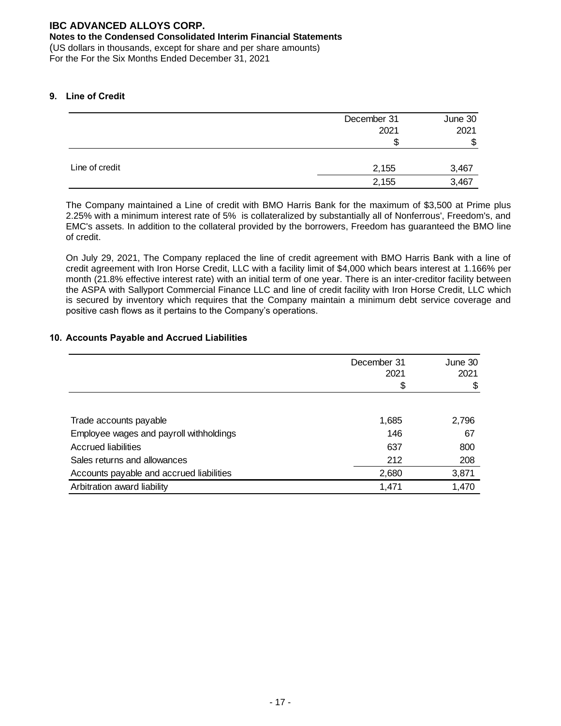### **Notes to the Condensed Consolidated Interim Financial Statements**

(US dollars in thousands, except for share and per share amounts) For the For the Six Months Ended December 31, 2021

### **9. Line of Credit**

|                | December 31 | June 30 |
|----------------|-------------|---------|
|                | 2021        | 2021    |
|                | S           | \$      |
|                |             |         |
| Line of credit | 2,155       | 3,467   |
|                | 2,155       | 3,467   |

The Company maintained a Line of credit with BMO Harris Bank for the maximum of \$3,500 at Prime plus 2.25% with a minimum interest rate of 5% is collateralized by substantially all of Nonferrous', Freedom's, and EMC's assets. In addition to the collateral provided by the borrowers, Freedom has guaranteed the BMO line of credit.

On July 29, 2021, The Company replaced the line of credit agreement with BMO Harris Bank with a line of credit agreement with Iron Horse Credit, LLC with a facility limit of \$4,000 which bears interest at 1.166% per month (21.8% effective interest rate) with an initial term of one year. There is an inter-creditor facility between the ASPA with Sallyport Commercial Finance LLC and line of credit facility with Iron Horse Credit, LLC which is secured by inventory which requires that the Company maintain a minimum debt service coverage and positive cash flows as it pertains to the Company's operations.

### **10. Accounts Payable and Accrued Liabilities**

|                                          | December 31<br>2021 | June 30<br>2021 |
|------------------------------------------|---------------------|-----------------|
|                                          | \$                  | \$              |
|                                          |                     |                 |
| Trade accounts payable                   | 1,685               | 2,796           |
| Employee wages and payroll withholdings  | 146                 | 67              |
| Accrued liabilities                      | 637                 | 800             |
| Sales returns and allowances             | 212                 | 208             |
| Accounts payable and accrued liabilities | 2,680               | 3,871           |
| Arbitration award liability              | 1,471               | 1,470           |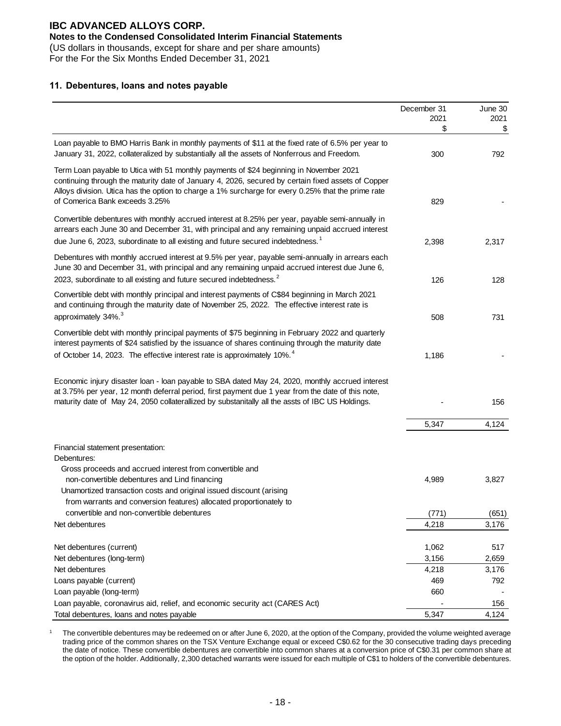### **Notes to the Condensed Consolidated Interim Financial Statements**

(US dollars in thousands, except for share and per share amounts) For the For the Six Months Ended December 31, 2021

### **11. Debentures, loans and notes payable**

|                                                                                                                                                                                                                                                                                                                                                                                                                                                                                                                                                                                | December 31<br>2021<br>\$ | June 30<br>2021<br>\$ |
|--------------------------------------------------------------------------------------------------------------------------------------------------------------------------------------------------------------------------------------------------------------------------------------------------------------------------------------------------------------------------------------------------------------------------------------------------------------------------------------------------------------------------------------------------------------------------------|---------------------------|-----------------------|
| Loan payable to BMO Harris Bank in monthly payments of \$11 at the fixed rate of 6.5% per year to<br>January 31, 2022, collateralized by substantially all the assets of Nonferrous and Freedom.                                                                                                                                                                                                                                                                                                                                                                               | 300                       | 792                   |
| Term Loan payable to Utica with 51 monthly payments of \$24 beginning in November 2021<br>continuing through the maturity date of January 4, 2026, secured by certain fixed assets of Copper<br>Alloys division. Utica has the option to charge a 1% surcharge for every 0.25% that the prime rate<br>of Comerica Bank exceeds 3.25%                                                                                                                                                                                                                                           | 829                       |                       |
| Convertible debentures with monthly accrued interest at 8.25% per year, payable semi-annually in<br>arrears each June 30 and December 31, with principal and any remaining unpaid accrued interest<br>due June 6, 2023, subordinate to all existing and future secured indebtedness. <sup>1</sup>                                                                                                                                                                                                                                                                              | 2,398                     | 2,317                 |
| Debentures with monthly accrued interest at 9.5% per year, payable semi-annually in arrears each<br>June 30 and December 31, with principal and any remaining unpaid accrued interest due June 6,<br>2023, subordinate to all existing and future secured indebtedness. <sup>2</sup>                                                                                                                                                                                                                                                                                           | 126                       | 128                   |
| Convertible debt with monthly principal and interest payments of C\$84 beginning in March 2021<br>and continuing through the maturity date of November 25, 2022. The effective interest rate is<br>approximately 34%. <sup>3</sup>                                                                                                                                                                                                                                                                                                                                             |                           |                       |
| Convertible debt with monthly principal payments of \$75 beginning in February 2022 and quarterly<br>interest payments of \$24 satisfied by the issuance of shares continuing through the maturity date                                                                                                                                                                                                                                                                                                                                                                        | 508                       | 731                   |
| of October 14, 2023. The effective interest rate is approximately 10%. <sup>4</sup>                                                                                                                                                                                                                                                                                                                                                                                                                                                                                            | 1,186                     |                       |
| Economic injury disaster loan - loan payable to SBA dated May 24, 2020, monthly accrued interest<br>at 3.75% per year, 12 month deferral period, first payment due 1 year from the date of this note,<br>maturity date of May 24, 2050 collaterallized by substanitally all the assts of IBC US Holdings.                                                                                                                                                                                                                                                                      |                           | 156                   |
|                                                                                                                                                                                                                                                                                                                                                                                                                                                                                                                                                                                | 5,347                     | 4,124                 |
| Financial statement presentation:<br>Debentures:<br>Gross proceeds and accrued interest from convertible and<br>non-convertible debentures and Lind financing<br>Unamortized transaction costs and original issued discount (arising<br>from warrants and conversion features) allocated proportionately to                                                                                                                                                                                                                                                                    | 4,989                     | 3,827                 |
| convertible and non-convertible debentures                                                                                                                                                                                                                                                                                                                                                                                                                                                                                                                                     | (771)                     | (651)                 |
| Net debentures                                                                                                                                                                                                                                                                                                                                                                                                                                                                                                                                                                 | 4,218                     | 3,176                 |
| Net debentures (current)<br>Net debentures (long-term)                                                                                                                                                                                                                                                                                                                                                                                                                                                                                                                         | 1,062<br>3,156            | 517<br>2,659          |
| Net debentures                                                                                                                                                                                                                                                                                                                                                                                                                                                                                                                                                                 | 4,218                     | 3,176                 |
| Loans payable (current)                                                                                                                                                                                                                                                                                                                                                                                                                                                                                                                                                        | 469                       | 792                   |
| Loan payable (long-term)                                                                                                                                                                                                                                                                                                                                                                                                                                                                                                                                                       | 660                       |                       |
| Loan payable, coronavirus aid, relief, and economic security act (CARES Act)                                                                                                                                                                                                                                                                                                                                                                                                                                                                                                   |                           | 156                   |
| Total debentures, loans and notes payable                                                                                                                                                                                                                                                                                                                                                                                                                                                                                                                                      | 5,347                     | 4,124                 |
| The convertible debentures may be redeemed on or after June 6, 2020, at the option of the Company, provided the volume weighted average<br>trading price of the common shares on the TSX Venture Exchange equal or exceed C\$0.62 for the 30 consecutive trading days preceding<br>the date of notice. These convertible debentures are convertible into common shares at a conversion price of C\$0.31 per common share at<br>the option of the holder. Additionally, 2,300 detached warrants were issued for each multiple of C\$1 to holders of the convertible debentures. |                           |                       |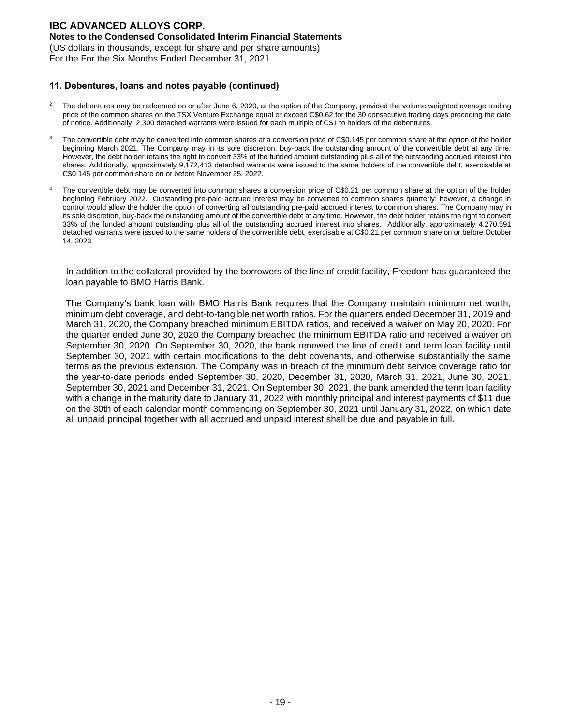### **Notes to the Condensed Consolidated Interim Financial Statements**

(US dollars in thousands, except for share and per share amounts) For the For the Six Months Ended December 31, 2021

#### **11. Debentures, loans and notes payable (continued)**

- The debentures may be redeemed on or after June 6, 2020, at the option of the Company, provided the volume weighted average trading price of the common shares on the TSX Venture Exchange equal or exceed C\$0.62 for the 30 consecutive trading days preceding the date of notice. Additionally, 2,300 detached warrants were issued for each multiple of C\$1 to holders of the debentures.
- <sup>3</sup> The convertible debt may be converted into common shares at a conversion price of C\$0.145 per common share at the option of the holder beginning March 2021. The Company may in its sole discretion, buy-back the outstanding amount of the convertible debt at any time. However, the debt holder retains the right to convert 33% of the funded amount outstanding plus all of the outstanding accrued interest into shares. Additionally, approximately 9,172,413 detached warrants were issued to the same holders of the convertible debt, exercisable at C\$0.145 per common share on or before November 25, 2022.
- The convertible debt may be converted into common shares a conversion price of C\$0.21 per common share at the option of the holder beginning February 2022. Outstanding pre-paid accrued interest may be converted to common shares quarterly; however, a change in control would allow the holder the option of converting all outstanding pre-paid accrued interest to common shares. The Company may in its sole discretion, buy-back the outstanding amount of the convertible debt at any time. However, the debt holder retains the right to convert 33% of the funded amount outstanding plus all of the outstanding accrued interest into shares. Additionally, approximately 4,270,591 detached warrants were issued to the same holders of the convertible debt, exercisable at C\$0.21 per common share on or before October 14, 2023

In addition to the collateral provided by the borrowers of the line of credit facility, Freedom has guaranteed the loan payable to BMO Harris Bank.

The Company's bank loan with BMO Harris Bank requires that the Company maintain minimum net worth, minimum debt coverage, and debt-to-tangible net worth ratios. For the quarters ended December 31, 2019 and March 31, 2020, the Company breached minimum EBITDA ratios, and received a waiver on May 20, 2020. For the quarter ended June 30, 2020 the Company breached the minimum EBITDA ratio and received a waiver on September 30, 2020. On September 30, 2020, the bank renewed the line of credit and term loan facility until September 30, 2021 with certain modifications to the debt covenants, and otherwise substantially the same terms as the previous extension. The Company was in breach of the minimum debt service coverage ratio for the year-to-date periods ended September 30, 2020, December 31, 2020, March 31, 2021, June 30, 2021, September 30, 2021 and December 31, 2021. On September 30, 2021, the bank amended the term loan facility with a change in the maturity date to January 31, 2022 with monthly principal and interest payments of \$11 due on the 30th of each calendar month commencing on September 30, 2021 until January 31, 2022, on which date all unpaid principal together with all accrued and unpaid interest shall be due and payable in full.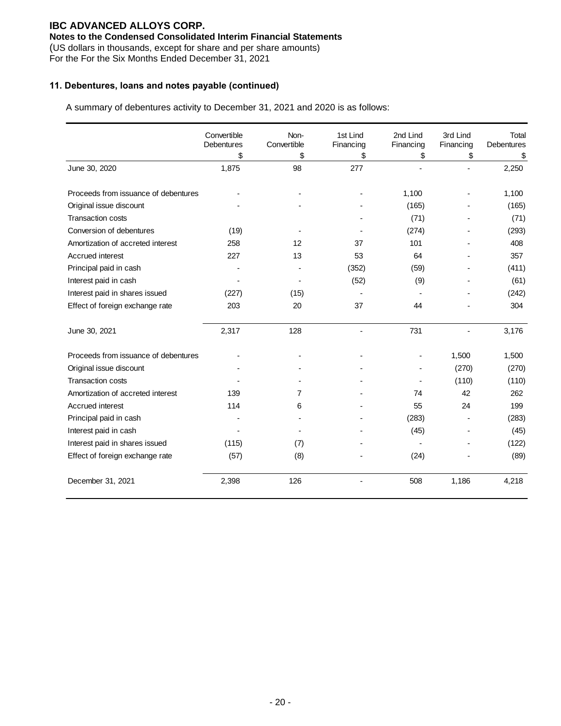### **Notes to the Condensed Consolidated Interim Financial Statements**

(US dollars in thousands, except for share and per share amounts)

For the For the Six Months Ended December 31, 2021

### **11. Debentures, loans and notes payable (continued)**

A summary of debentures activity to December 31, 2021 and 2020 is as follows:

|                                      | Convertible<br><b>Debentures</b><br>\$ | Non-<br>Convertible<br>\$ | 1st Lind<br>Financing<br>\$ | 2nd Lind<br>Financing<br>\$ | 3rd Lind<br>Financing<br>\$ | Total<br><b>Debentures</b><br>\$ |
|--------------------------------------|----------------------------------------|---------------------------|-----------------------------|-----------------------------|-----------------------------|----------------------------------|
| June 30, 2020                        | 1,875                                  | 98                        | 277                         |                             |                             | 2,250                            |
| Proceeds from issuance of debentures |                                        |                           |                             | 1,100                       |                             | 1,100                            |
| Original issue discount              |                                        |                           |                             | (165)                       |                             | (165)                            |
| <b>Transaction costs</b>             |                                        |                           |                             | (71)                        |                             | (71)                             |
| Conversion of debentures             | (19)                                   |                           |                             | (274)                       |                             | (293)                            |
| Amortization of accreted interest    | 258                                    | 12                        | 37                          | 101                         |                             | 408                              |
| Accrued interest                     | 227                                    | 13                        | 53                          | 64                          |                             | 357                              |
| Principal paid in cash               |                                        |                           | (352)                       | (59)                        |                             | (411)                            |
| Interest paid in cash                |                                        |                           | (52)                        | (9)                         |                             | (61)                             |
| Interest paid in shares issued       | (227)                                  | (15)                      |                             |                             |                             | (242)                            |
| Effect of foreign exchange rate      | 203                                    | 20                        | 37                          | 44                          |                             | 304                              |
| June 30, 2021                        | 2,317                                  | 128                       |                             | 731                         |                             | 3,176                            |
| Proceeds from issuance of debentures |                                        |                           |                             |                             | 1,500                       | 1,500                            |
| Original issue discount              |                                        |                           |                             |                             | (270)                       | (270)                            |
| <b>Transaction costs</b>             |                                        |                           |                             |                             | (110)                       | (110)                            |
| Amortization of accreted interest    | 139                                    | 7                         |                             | 74                          | 42                          | 262                              |
| Accrued interest                     | 114                                    | 6                         |                             | 55                          | 24                          | 199                              |
| Principal paid in cash               |                                        |                           |                             | (283)                       |                             | (283)                            |
| Interest paid in cash                |                                        |                           |                             | (45)                        |                             | (45)                             |
| Interest paid in shares issued       | (115)                                  | (7)                       |                             |                             |                             | (122)                            |
| Effect of foreign exchange rate      | (57)                                   | (8)                       |                             | (24)                        |                             | (89)                             |
| December 31, 2021                    | 2,398                                  | 126                       |                             | 508                         | 1,186                       | 4,218                            |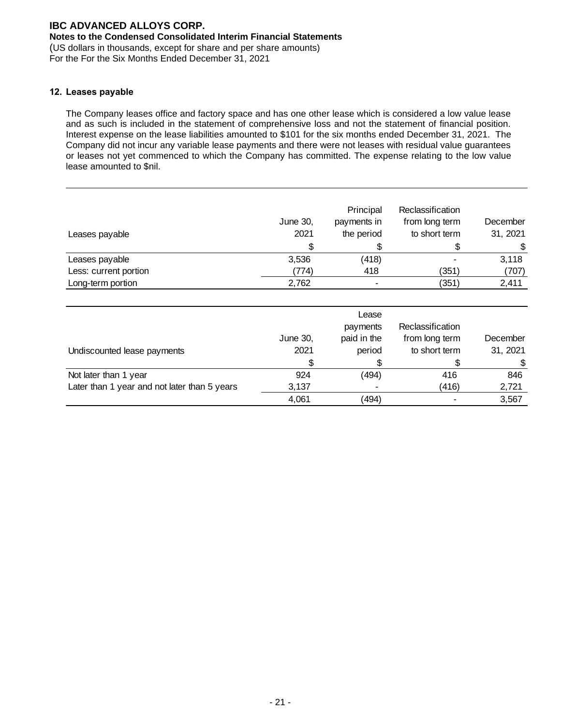### **Notes to the Condensed Consolidated Interim Financial Statements**

(US dollars in thousands, except for share and per share amounts) For the For the Six Months Ended December 31, 2021

### **12. Leases payable**

The Company leases office and factory space and has one other lease which is considered a low value lease and as such is included in the statement of comprehensive loss and not the statement of financial position. Interest expense on the lease liabilities amounted to \$101 for the six months ended December 31, 2021. The Company did not incur any variable lease payments and there were not leases with residual value guarantees or leases not yet commenced to which the Company has committed. The expense relating to the low value lease amounted to \$nil.

| Leases payable        | June 30,<br>2021 | Principal<br>payments in<br>the period | Reclassification<br>from long term<br>to short term | December<br>31, 2021 |
|-----------------------|------------------|----------------------------------------|-----------------------------------------------------|----------------------|
|                       | \$               |                                        |                                                     | \$                   |
| Leases payable        | 3,536            | (418)                                  |                                                     | 3,118                |
| Less: current portion | (774)            | 418                                    | (351)                                               | (707)                |
| Long-term portion     | 2,762            | -                                      | (351)                                               | 2,411                |

| Undiscounted lease payments                  | June 30,<br>2021 | Lease<br>payments<br>paid in the<br>period | Reclassification<br>from long term<br>to short term | December<br>31, 2021 |
|----------------------------------------------|------------------|--------------------------------------------|-----------------------------------------------------|----------------------|
|                                              |                  |                                            |                                                     |                      |
| Not later than 1 year                        | 924              | (494)                                      | 416                                                 | 846                  |
| Later than 1 year and not later than 5 years | 3,137            |                                            | (416)                                               | 2,721                |
|                                              | 4,061            | (494)                                      |                                                     | 3,567                |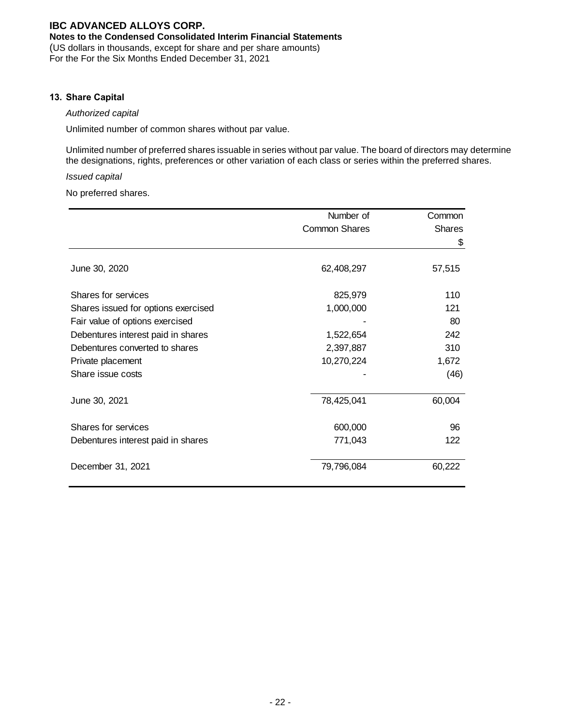### **Notes to the Condensed Consolidated Interim Financial Statements**

(US dollars in thousands, except for share and per share amounts) For the For the Six Months Ended December 31, 2021

#### **13. Share Capital**

### *Authorized capital*

Unlimited number of common shares without par value.

Unlimited number of preferred shares issuable in series without par value. The board of directors may determine the designations, rights, preferences or other variation of each class or series within the preferred shares.

### *Issued capital*

No preferred shares.

|                                     | Number of            | Common        |
|-------------------------------------|----------------------|---------------|
|                                     | <b>Common Shares</b> | <b>Shares</b> |
|                                     |                      | \$            |
|                                     |                      |               |
| June 30, 2020                       | 62,408,297           | 57,515        |
| Shares for services                 | 825,979              | 110           |
|                                     |                      | 121           |
| Shares issued for options exercised | 1,000,000            |               |
| Fair value of options exercised     |                      | 80            |
| Debentures interest paid in shares  | 1,522,654            | 242           |
| Debentures converted to shares      | 2,397,887            | 310           |
| Private placement                   | 10,270,224           | 1,672         |
| Share issue costs                   |                      | (46)          |
| June 30, 2021                       | 78,425,041           | 60,004        |
|                                     |                      |               |
| Shares for services                 | 600,000              | 96            |
| Debentures interest paid in shares  | 771,043              | 122           |
| December 31, 2021                   | 79,796,084           | 60,222        |
|                                     |                      |               |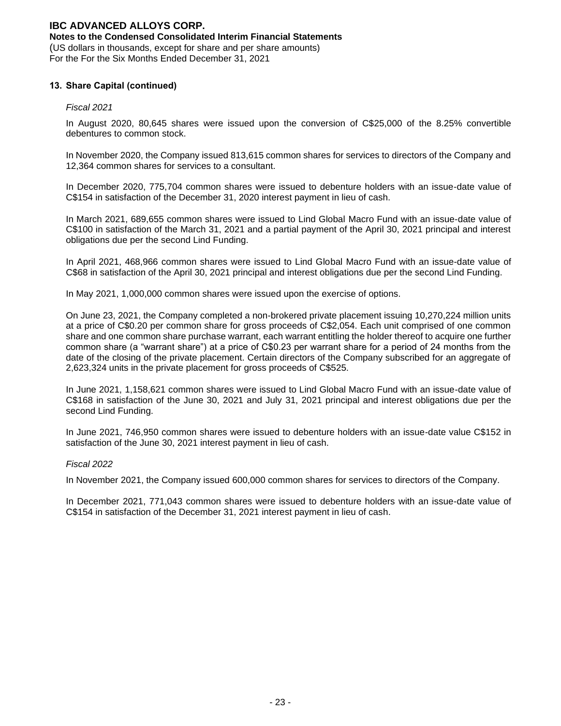### **Notes to the Condensed Consolidated Interim Financial Statements**

(US dollars in thousands, except for share and per share amounts) For the For the Six Months Ended December 31, 2021

### **13. Share Capital (continued)**

#### *Fiscal 2021*

In August 2020, 80,645 shares were issued upon the conversion of C\$25,000 of the 8.25% convertible debentures to common stock.

In November 2020, the Company issued 813,615 common shares for services to directors of the Company and 12,364 common shares for services to a consultant.

In December 2020, 775,704 common shares were issued to debenture holders with an issue-date value of C\$154 in satisfaction of the December 31, 2020 interest payment in lieu of cash.

In March 2021, 689,655 common shares were issued to Lind Global Macro Fund with an issue-date value of C\$100 in satisfaction of the March 31, 2021 and a partial payment of the April 30, 2021 principal and interest obligations due per the second Lind Funding.

In April 2021, 468,966 common shares were issued to Lind Global Macro Fund with an issue-date value of C\$68 in satisfaction of the April 30, 2021 principal and interest obligations due per the second Lind Funding.

In May 2021, 1,000,000 common shares were issued upon the exercise of options.

On June 23, 2021, the Company completed a non-brokered private placement issuing 10,270,224 million units at a price of C\$0.20 per common share for gross proceeds of C\$2,054. Each unit comprised of one common share and one common share purchase warrant, each warrant entitling the holder thereof to acquire one further common share (a "warrant share") at a price of C\$0.23 per warrant share for a period of 24 months from the date of the closing of the private placement. Certain directors of the Company subscribed for an aggregate of 2,623,324 units in the private placement for gross proceeds of C\$525.

In June 2021, 1,158,621 common shares were issued to Lind Global Macro Fund with an issue-date value of C\$168 in satisfaction of the June 30, 2021 and July 31, 2021 principal and interest obligations due per the second Lind Funding.

In June 2021, 746,950 common shares were issued to debenture holders with an issue-date value C\$152 in satisfaction of the June 30, 2021 interest payment in lieu of cash.

#### *Fiscal 2022*

In November 2021, the Company issued 600,000 common shares for services to directors of the Company.

In December 2021, 771,043 common shares were issued to debenture holders with an issue-date value of C\$154 in satisfaction of the December 31, 2021 interest payment in lieu of cash.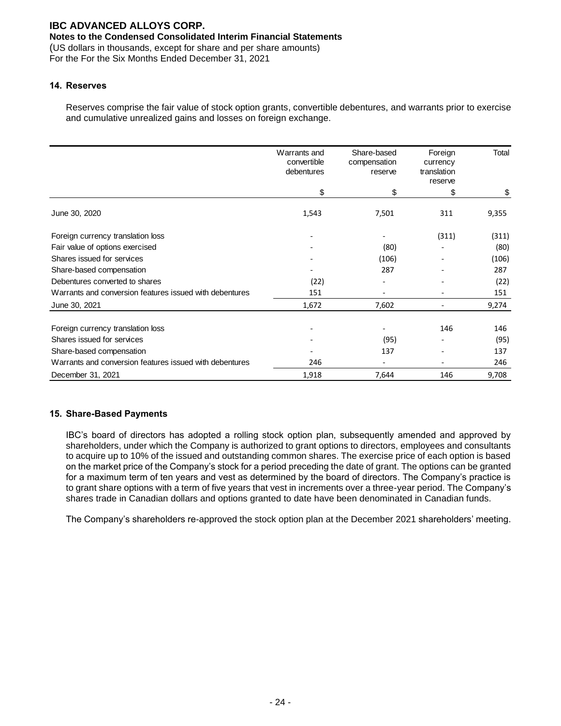## **Notes to the Condensed Consolidated Interim Financial Statements**

(US dollars in thousands, except for share and per share amounts) For the For the Six Months Ended December 31, 2021

### **14. Reserves**

Reserves comprise the fair value of stock option grants, convertible debentures, and warrants prior to exercise and cumulative unrealized gains and losses on foreign exchange.

|                                                         | Warrants and<br>convertible<br>debentures | Share-based<br>compensation<br>reserve | Foreign<br>currency<br>translation<br>reserve | Total |
|---------------------------------------------------------|-------------------------------------------|----------------------------------------|-----------------------------------------------|-------|
|                                                         | \$                                        | \$                                     | \$                                            | \$    |
| June 30, 2020                                           | 1,543                                     | 7,501                                  | 311                                           | 9,355 |
| Foreign currency translation loss                       |                                           |                                        | (311)                                         | (311) |
| Fair value of options exercised                         |                                           | (80)                                   |                                               | (80)  |
| Shares issued for services                              |                                           | (106)                                  |                                               | (106) |
| Share-based compensation                                |                                           | 287                                    |                                               | 287   |
| Debentures converted to shares                          | (22)                                      |                                        |                                               | (22)  |
| Warrants and conversion features issued with debentures | 151                                       |                                        |                                               | 151   |
| June 30, 2021                                           | 1,672                                     | 7,602                                  |                                               | 9,274 |
| Foreign currency translation loss                       |                                           |                                        | 146                                           | 146   |
| Shares issued for services                              |                                           | (95)                                   |                                               | (95)  |
| Share-based compensation                                |                                           | 137                                    |                                               | 137   |
| Warrants and conversion features issued with debentures | 246                                       | ٠                                      |                                               | 246   |
| December 31, 2021                                       | 1,918                                     | 7,644                                  | 146                                           | 9,708 |

### **15. Share-Based Payments**

IBC's board of directors has adopted a rolling stock option plan, subsequently amended and approved by shareholders, under which the Company is authorized to grant options to directors, employees and consultants to acquire up to 10% of the issued and outstanding common shares. The exercise price of each option is based on the market price of the Company's stock for a period preceding the date of grant. The options can be granted for a maximum term of ten years and vest as determined by the board of directors. The Company's practice is to grant share options with a term of five years that vest in increments over a three-year period. The Company's shares trade in Canadian dollars and options granted to date have been denominated in Canadian funds.

The Company's shareholders re-approved the stock option plan at the December 2021 shareholders' meeting.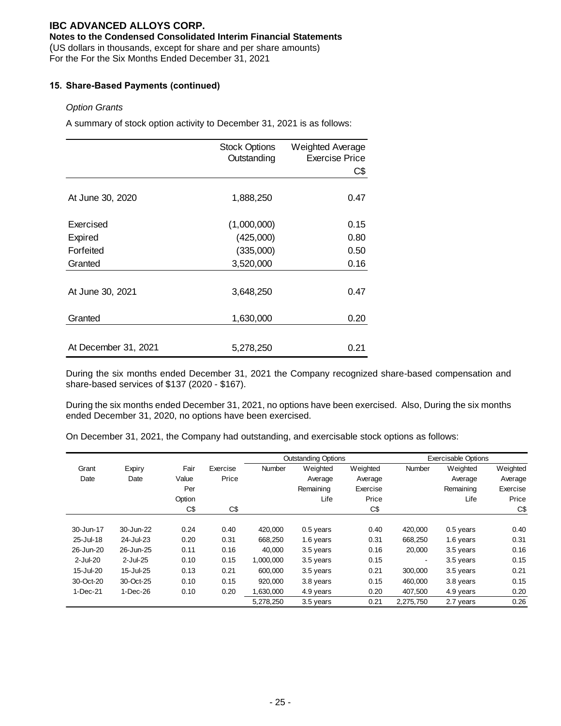### **Notes to the Condensed Consolidated Interim Financial Statements**

(US dollars in thousands, except for share and per share amounts)

For the For the Six Months Ended December 31, 2021

### **15. Share-Based Payments (continued)**

### *Option Grants*

A summary of stock option activity to December 31, 2021 is as follows:

|                      | <b>Stock Options</b><br>Outstanding | Weighted Average<br><b>Exercise Price</b><br>C\$ |
|----------------------|-------------------------------------|--------------------------------------------------|
| At June 30, 2020     | 1,888,250                           | 0.47                                             |
| Exercised            | (1,000,000)                         | 0.15                                             |
| Expired              | (425,000)                           | 0.80                                             |
| Forfeited            | (335,000)                           | 0.50                                             |
| Granted              | 3,520,000                           | 0.16                                             |
| At June 30, 2021     | 3,648,250                           | 0.47                                             |
| Granted              | 1,630,000                           | 0.20                                             |
|                      |                                     |                                                  |
| At December 31, 2021 | 5,278,250                           | 0.21                                             |

During the six months ended December 31, 2021 the Company recognized share-based compensation and share-based services of \$137 (2020 - \$167).

During the six months ended December 31, 2021, no options have been exercised. Also, During the six months ended December 31, 2020, no options have been exercised.

On December 31, 2021, the Company had outstanding, and exercisable stock options as follows:

|             |            |        |          |               | <b>Outstanding Options</b> |          |                | <b>Exercisable Options</b> |          |
|-------------|------------|--------|----------|---------------|----------------------------|----------|----------------|----------------------------|----------|
| Grant       | Expiry     | Fair   | Exercise | <b>Number</b> | Weighted                   | Weighted | <b>Number</b>  | Weighted                   | Weighted |
| Date        | Date       | Value  | Price    |               | Average                    | Average  |                | Average                    | Average  |
|             |            | Per    |          |               | Remaining                  | Exercise |                | Remaining                  | Exercise |
|             |            | Option |          |               | Life                       | Price    |                | Life                       | Price    |
|             |            | C\$    | C\$      |               |                            | C\$      |                |                            | C\$      |
| 30-Jun-17   | 30-Jun-22  | 0.24   | 0.40     | 420,000       | 0.5 years                  | 0.40     | 420,000        | $0.5$ years                | 0.40     |
| 25-Jul-18   | 24-Jul-23  | 0.20   | 0.31     | 668.250       | 1.6 years                  | 0.31     | 668.250        | 1.6 years                  | 0.31     |
| 26-Jun-20   | 26-Jun-25  | 0.11   | 0.16     | 40,000        | 3.5 years                  | 0.16     | 20,000         | 3.5 years                  | 0.16     |
| $2$ -Jul-20 | 2-Jul-25   | 0.10   | 0.15     | 1,000,000     | 3.5 years                  | 0.15     | $\blacksquare$ | 3.5 years                  | 0.15     |
| 15-Jul-20   | 15-Jul-25  | 0.13   | 0.21     | 600,000       | 3.5 years                  | 0.21     | 300,000        | 3.5 years                  | 0.21     |
| 30-Oct-20   | 30-Oct-25  | 0.10   | 0.15     | 920,000       | 3.8 years                  | 0.15     | 460.000        | 3.8 years                  | 0.15     |
| 1-Dec-21    | $1-Dec-26$ | 0.10   | 0.20     | .630.000      | 4.9 years                  | 0.20     | 407,500        | 4.9 years                  | 0.20     |
|             |            |        |          | 5,278,250     | 3.5 years                  | 0.21     | 2,275,750      | 2.7 years                  | 0.26     |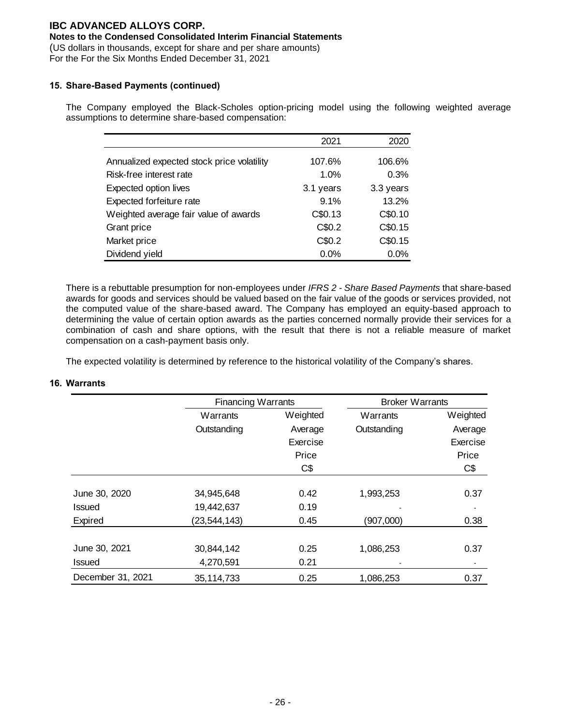## **Notes to the Condensed Consolidated Interim Financial Statements**

(US dollars in thousands, except for share and per share amounts)

For the For the Six Months Ended December 31, 2021

### **15. Share-Based Payments (continued)**

The Company employed the Black-Scholes option-pricing model using the following weighted average assumptions to determine share-based compensation:

|                                            | 2021      | 2020      |
|--------------------------------------------|-----------|-----------|
|                                            |           |           |
| Annualized expected stock price volatility | 107.6%    | 106.6%    |
| Risk-free interest rate                    | 1.0%      | 0.3%      |
| Expected option lives                      | 3.1 years | 3.3 years |
| Expected forfeiture rate                   | 9.1%      | 13.2%     |
| Weighted average fair value of awards      | C\$0.13   | C\$0.10   |
| Grant price                                | C\$0.2    | C\$0.15   |
| Market price                               | C\$0.2    | C\$0.15   |
| Dividend yield                             | 0.0%      | 0.0%      |

There is a rebuttable presumption for non-employees under *IFRS 2 - Share Based Payments* that share-based awards for goods and services should be valued based on the fair value of the goods or services provided, not the computed value of the share-based award. The Company has employed an equity-based approach to determining the value of certain option awards as the parties concerned normally provide their services for a combination of cash and share options, with the result that there is not a reliable measure of market compensation on a cash-payment basis only.

The expected volatility is determined by reference to the historical volatility of the Company's shares.

|                   |                | <b>Financing Warrants</b> |             | <b>Broker Warrants</b> |
|-------------------|----------------|---------------------------|-------------|------------------------|
|                   | Warrants       | Weighted                  | Warrants    | Weighted               |
|                   | Outstanding    | Average                   | Outstanding | Average                |
|                   |                | Exercise                  |             | Exercise               |
|                   |                | Price                     |             | Price                  |
|                   |                | C\$                       |             | C\$                    |
| June 30, 2020     | 34,945,648     | 0.42                      | 1,993,253   | 0.37                   |
| Issued            | 19,442,637     | 0.19                      |             |                        |
| Expired           | (23, 544, 143) | 0.45                      | (907,000)   | 0.38                   |
|                   |                |                           |             |                        |
| June 30, 2021     | 30,844,142     | 0.25                      | 1,086,253   | 0.37                   |
| <b>Issued</b>     | 4,270,591      | 0.21                      |             |                        |
| December 31, 2021 | 35, 114, 733   | 0.25                      | 1,086,253   | 0.37                   |

#### **16. Warrants**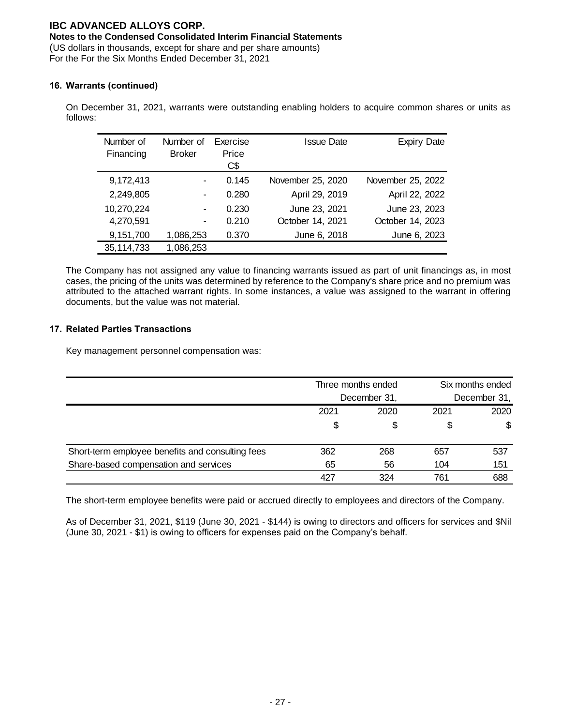## **Notes to the Condensed Consolidated Interim Financial Statements**

(US dollars in thousands, except for share and per share amounts) For the For the Six Months Ended December 31, 2021

## **16. Warrants (continued)**

On December 31, 2021, warrants were outstanding enabling holders to acquire common shares or units as follows:

| Number of<br>Financing | Number of<br><b>Broker</b> | Exercise<br>Price<br>C\$ | Issue Date        | <b>Expiry Date</b> |
|------------------------|----------------------------|--------------------------|-------------------|--------------------|
| 9,172,413              | ۰                          | 0.145                    | November 25, 2020 | November 25, 2022  |
| 2,249,805              |                            | 0.280                    | April 29, 2019    | April 22, 2022     |
| 10,270,224             | ۰                          | 0.230                    | June 23, 2021     | June 23, 2023      |
| 4,270,591              | ۰                          | 0.210                    | October 14, 2021  | October 14, 2023   |
| 9,151,700              | 1,086,253                  | 0.370                    | June 6, 2018      | June 6, 2023       |
| 35, 114, 733           | 1,086,253                  |                          |                   |                    |

The Company has not assigned any value to financing warrants issued as part of unit financings as, in most cases, the pricing of the units was determined by reference to the Company's share price and no premium was attributed to the attached warrant rights. In some instances, a value was assigned to the warrant in offering documents, but the value was not material.

### **17. Related Parties Transactions**

Key management personnel compensation was:

|                                                  | Three months ended<br>December 31, |      | Six months ended<br>December 31, |      |
|--------------------------------------------------|------------------------------------|------|----------------------------------|------|
|                                                  | 2021                               | 2020 | 2021                             | 2020 |
|                                                  | \$                                 |      | \$                               | \$   |
| Short-term employee benefits and consulting fees | 362                                | 268  | 657                              | 537  |
| Share-based compensation and services            | 65                                 | 56   | 104                              | 151  |
|                                                  | 427                                | 324  | 761                              | 688  |

The short-term employee benefits were paid or accrued directly to employees and directors of the Company.

As of December 31, 2021, \$119 (June 30, 2021 - \$144) is owing to directors and officers for services and \$Nil (June 30, 2021 - \$1) is owing to officers for expenses paid on the Company's behalf.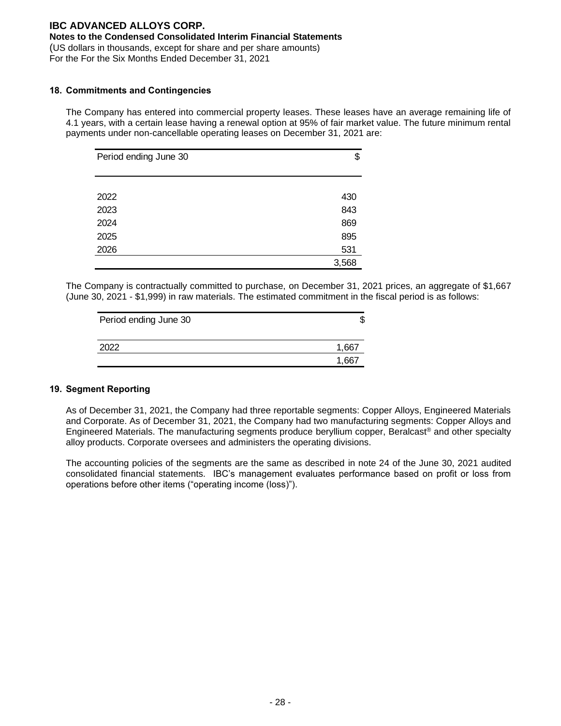### **Notes to the Condensed Consolidated Interim Financial Statements**

(US dollars in thousands, except for share and per share amounts)

For the For the Six Months Ended December 31, 2021

#### **18. Commitments and Contingencies**

The Company has entered into commercial property leases. These leases have an average remaining life of 4.1 years, with a certain lease having a renewal option at 95% of fair market value. The future minimum rental payments under non-cancellable operating leases on December 31, 2021 are:

| Period ending June 30 | \$    |
|-----------------------|-------|
|                       |       |
| 2022                  | 430   |
| 2023                  | 843   |
| 2024                  | 869   |
| 2025                  | 895   |
| 2026                  | 531   |
|                       | 3,568 |

The Company is contractually committed to purchase, on December 31, 2021 prices, an aggregate of \$1,667 (June 30, 2021 - \$1,999) in raw materials. The estimated commitment in the fiscal period is as follows:

| Period ending June 30 | ъD  |
|-----------------------|-----|
| 2022                  | 66  |
|                       | .66 |

#### **19. Segment Reporting**

As of December 31, 2021, the Company had three reportable segments: Copper Alloys, Engineered Materials and Corporate. As of December 31, 2021, the Company had two manufacturing segments: Copper Alloys and Engineered Materials. The manufacturing segments produce beryllium copper, Beralcast® and other specialty alloy products. Corporate oversees and administers the operating divisions.

The accounting policies of the segments are the same as described in note 24 of the June 30, 2021 audited consolidated financial statements. IBC's management evaluates performance based on profit or loss from operations before other items ("operating income (loss)").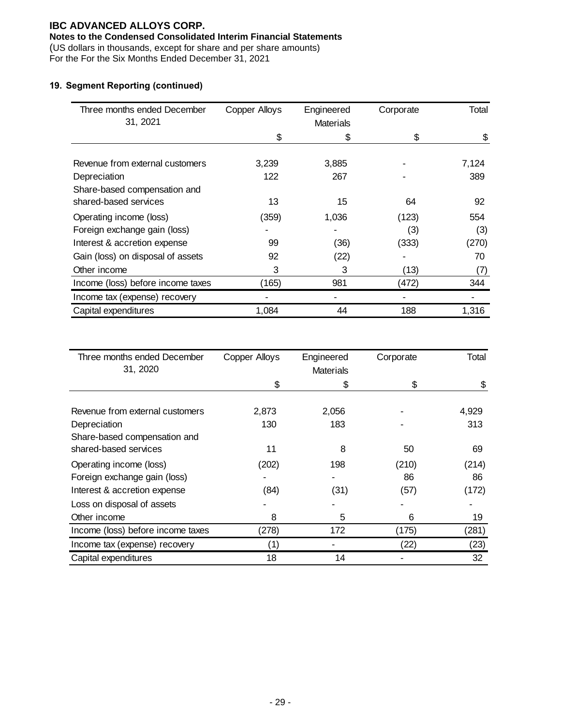## **Notes to the Condensed Consolidated Interim Financial Statements**

(US dollars in thousands, except for share and per share amounts)

For the For the Six Months Ended December 31, 2021

## **19. Segment Reporting (continued)**

| Three months ended December       | <b>Copper Alloys</b> | Engineered       | Corporate | Total |
|-----------------------------------|----------------------|------------------|-----------|-------|
| 31, 2021                          |                      | <b>Materials</b> |           |       |
|                                   | \$                   | \$               | \$        | \$    |
|                                   |                      |                  |           |       |
| Revenue from external customers   | 3,239                | 3,885            |           | 7,124 |
| Depreciation                      | 122                  | 267              |           | 389   |
| Share-based compensation and      |                      |                  |           |       |
| shared-based services             | 13                   | 15               | 64        | 92    |
| Operating income (loss)           | (359)                | 1,036            | (123)     | 554   |
| Foreign exchange gain (loss)      |                      |                  | (3)       | (3)   |
| Interest & accretion expense      | 99                   | (36)             | (333)     | (270) |
| Gain (loss) on disposal of assets | 92                   | (22)             |           | 70    |
| Other income                      | 3                    | 3                | (13)      | (7)   |
| Income (loss) before income taxes | (165)                | 981              | (472)     | 344   |
| Income tax (expense) recovery     |                      |                  |           |       |
| Capital expenditures              | 1,084                | 44               | 188       | 1,316 |

| Three months ended December       | <b>Copper Alloys</b> | Engineered       | Corporate | Total |
|-----------------------------------|----------------------|------------------|-----------|-------|
| 31, 2020                          |                      | <b>Materials</b> |           |       |
|                                   | \$                   | \$               | \$        | \$    |
|                                   |                      |                  |           |       |
| Revenue from external customers   | 2,873                | 2,056            |           | 4,929 |
| Depreciation                      | 130                  | 183              |           | 313   |
| Share-based compensation and      |                      |                  |           |       |
| shared-based services             | 11                   | 8                | 50        | 69    |
| Operating income (loss)           | (202)                | 198              | (210)     | (214) |
| Foreign exchange gain (loss)      |                      |                  | 86        | 86    |
| Interest & accretion expense      | (84)                 | (31)             | (57)      | (172) |
| Loss on disposal of assets        |                      |                  |           |       |
| Other income                      | 8                    | 5                | 6         | 19    |
| Income (loss) before income taxes | (278)                | 172              | (175)     | (281) |
| Income tax (expense) recovery     | (1)                  |                  | (22)      | (23)  |
| Capital expenditures              | 18                   | 14               |           | 32    |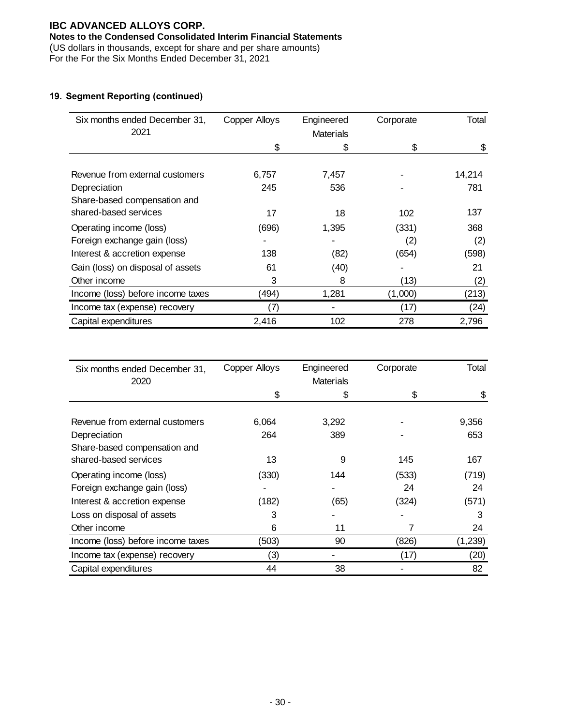## **Notes to the Condensed Consolidated Interim Financial Statements**

(US dollars in thousands, except for share and per share amounts)

For the For the Six Months Ended December 31, 2021

## **19. Segment Reporting (continued)**

| Six months ended December 31,     | <b>Copper Alloys</b> | Engineered       | Corporate | Total  |
|-----------------------------------|----------------------|------------------|-----------|--------|
| 2021                              |                      | <b>Materials</b> |           |        |
|                                   | \$                   | \$               | \$        | \$     |
|                                   |                      |                  |           |        |
| Revenue from external customers   | 6,757                | 7,457            |           | 14,214 |
| Depreciation                      | 245                  | 536              |           | 781    |
| Share-based compensation and      |                      |                  |           |        |
| shared-based services             | 17                   | 18               | 102       | 137    |
| Operating income (loss)           | (696)                | 1,395            | (331)     | 368    |
| Foreign exchange gain (loss)      |                      |                  | (2)       | (2)    |
| Interest & accretion expense      | 138                  | (82)             | (654)     | (598)  |
| Gain (loss) on disposal of assets | 61                   | (40)             |           | 21     |
| Other income                      | 3                    | 8                | (13)      | (2)    |
| Income (loss) before income taxes | (494)                | 1,281            | (1,000)   | (213)  |
| Income tax (expense) recovery     | (7)                  |                  | (17)      | (24)   |
| Capital expenditures              | 2,416                | 102              | 278       | 2,796  |

| Six months ended December 31,     | <b>Copper Alloys</b> | Engineered       | Corporate | Total   |
|-----------------------------------|----------------------|------------------|-----------|---------|
| 2020                              |                      | <b>Materials</b> |           |         |
|                                   | \$                   | S                | \$        | \$      |
|                                   |                      |                  |           |         |
| Revenue from external customers   | 6,064                | 3,292            |           | 9,356   |
| Depreciation                      | 264                  | 389              |           | 653     |
| Share-based compensation and      |                      |                  |           |         |
| shared-based services             | 13                   | 9                | 145       | 167     |
| Operating income (loss)           | (330)                | 144              | (533)     | (719)   |
| Foreign exchange gain (loss)      |                      |                  | 24        | 24      |
| Interest & accretion expense      | (182)                | (65)             | (324)     | (571)   |
| Loss on disposal of assets        | 3                    |                  |           | 3       |
| Other income                      | 6                    | 11               |           | 24      |
| Income (loss) before income taxes | (503)                | 90               | (826)     | (1,239) |
| Income tax (expense) recovery     | (3)                  |                  | (17)      | (20)    |
| Capital expenditures              | 44                   | 38               |           | 82      |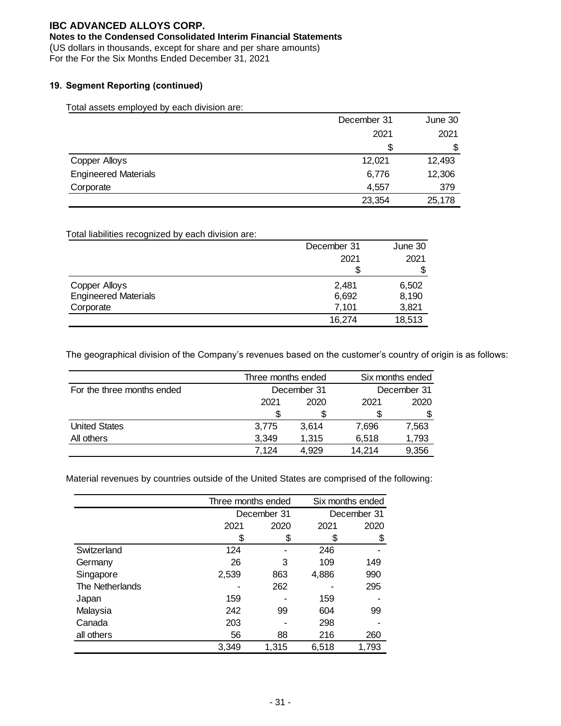### **Notes to the Condensed Consolidated Interim Financial Statements**

(US dollars in thousands, except for share and per share amounts)

For the For the Six Months Ended December 31, 2021

### **19. Segment Reporting (continued)**

Total assets employed by each division are:

|                             | December 31 | June 30 |
|-----------------------------|-------------|---------|
|                             | 2021        | 2021    |
|                             | S           | \$      |
| Copper Alloys               | 12,021      | 12,493  |
| <b>Engineered Materials</b> | 6,776       | 12,306  |
| Corporate                   | 4,557       | 379     |
|                             | 23,354      | 25,178  |

### Total liabilities recognized by each division are:

|                             | December 31 | June 30 |
|-----------------------------|-------------|---------|
|                             | 2021        | 2021    |
|                             |             |         |
| <b>Copper Alloys</b>        | 2,481       | 6,502   |
| <b>Engineered Materials</b> | 6,692       | 8,190   |
| Corporate                   | 7,101       | 3,821   |
|                             | 16,274      | 18,513  |

The geographical division of the Company's revenues based on the customer's country of origin is as follows:

|                            | Three months ended |             |        | Six months ended |
|----------------------------|--------------------|-------------|--------|------------------|
| For the three months ended |                    | December 31 |        | December 31      |
|                            | 2021               | 2020        | 2021   | 2020             |
|                            |                    | S           |        |                  |
| <b>United States</b>       | 3.775              | 3.614       | 7.696  | 7,563            |
| All others                 | 3,349              | 1.315       | 6,518  | 1,793            |
|                            | 7.124              | 4.929       | 14.214 | 9,356            |

Material revenues by countries outside of the United States are comprised of the following:

|                 |       | Three months ended |       | Six months ended |
|-----------------|-------|--------------------|-------|------------------|
|                 |       | December 31        |       | December 31      |
|                 | 2021  | 2020               | 2021  | 2020             |
|                 | \$    | \$                 |       | \$               |
| Switzerland     | 124   |                    | 246   |                  |
| Germany         | 26    | 3                  | 109   | 149              |
| Singapore       | 2,539 | 863                | 4,886 | 990              |
| The Netherlands |       | 262                |       | 295              |
| Japan           | 159   |                    | 159   |                  |
| Malaysia        | 242   | 99                 | 604   | 99               |
| Canada          | 203   |                    | 298   |                  |
| all others      | 56    | 88                 | 216   | 260              |
|                 | 3,349 | 1,315              | 6,518 | 1,793            |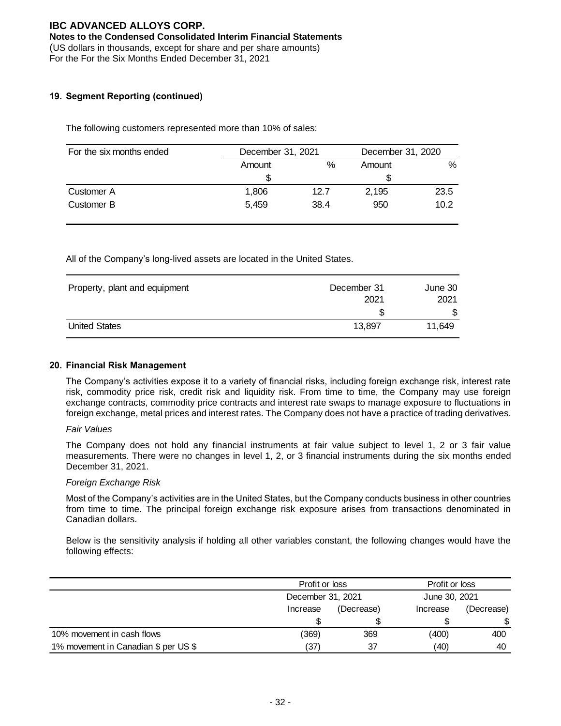#### **Notes to the Condensed Consolidated Interim Financial Statements**

(US dollars in thousands, except for share and per share amounts)

For the For the Six Months Ended December 31, 2021

### **19. Segment Reporting (continued)**

The following customers represented more than 10% of sales:

| For the six months ended | December 31, 2021 |      | December 31, 2020 |      |
|--------------------------|-------------------|------|-------------------|------|
|                          | Amount            | %    | Amount            | %    |
|                          |                   |      |                   |      |
| Customer A               | 1,806             | 12.7 | 2.195             | 23.5 |
| Customer B               | 5.459             | 38.4 | 950               | 10.2 |

All of the Company's long-lived assets are located in the United States.

| Property, plant and equipment | December 31 | June 30 |
|-------------------------------|-------------|---------|
|                               | 2021        | 2021    |
|                               | S           | \$      |
| <b>United States</b>          | 13.897      | 11.649  |

#### **20. Financial Risk Management**

The Company's activities expose it to a variety of financial risks, including foreign exchange risk, interest rate risk, commodity price risk, credit risk and liquidity risk. From time to time, the Company may use foreign exchange contracts, commodity price contracts and interest rate swaps to manage exposure to fluctuations in foreign exchange, metal prices and interest rates. The Company does not have a practice of trading derivatives.

#### *Fair Values*

The Company does not hold any financial instruments at fair value subject to level 1, 2 or 3 fair value measurements. There were no changes in level 1, 2, or 3 financial instruments during the six months ended December 31, 2021.

#### *Foreign Exchange Risk*

Most of the Company's activities are in the United States, but the Company conducts business in other countries from time to time. The principal foreign exchange risk exposure arises from transactions denominated in Canadian dollars.

Below is the sensitivity analysis if holding all other variables constant, the following changes would have the following effects:

|                                      | Profit or loss<br>December 31, 2021 |            | Profit or loss |            |  |
|--------------------------------------|-------------------------------------|------------|----------------|------------|--|
|                                      |                                     |            | June 30, 2021  |            |  |
|                                      | Increase                            | (Decrease) | Increase       | (Decrease) |  |
|                                      |                                     |            |                | \$         |  |
| 10% movement in cash flows           | (369)                               | 369        | (400)          | 400        |  |
| 1% movement in Canadian \$ per US \$ | (37)                                | 37         | (40)           | 40         |  |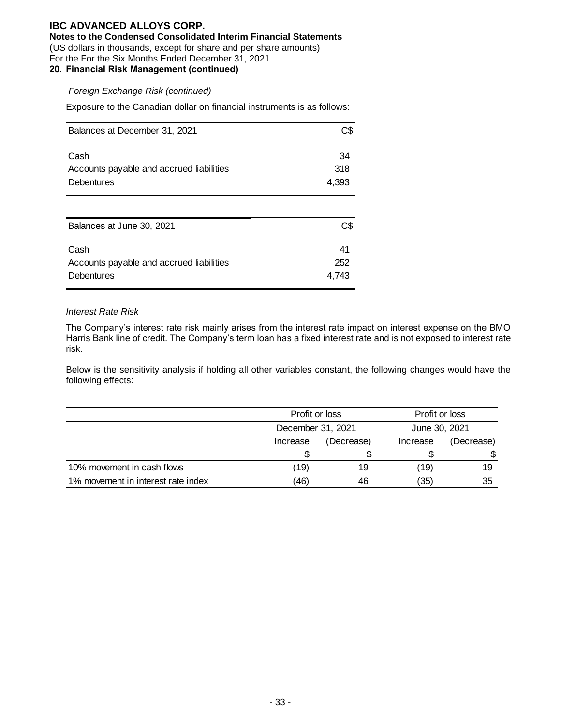**Notes to the Condensed Consolidated Interim Financial Statements**

(US dollars in thousands, except for share and per share amounts)

For the For the Six Months Ended December 31, 2021

## **20. Financial Risk Management (continued)**

### *Foreign Exchange Risk (continued)*

Exposure to the Canadian dollar on financial instruments is as follows:

| Balances at December 31, 2021            | C\$.  |
|------------------------------------------|-------|
| Cash                                     | 34    |
| Accounts payable and accrued liabilities | .318  |
| <b>Debentures</b>                        | 4.393 |

| Balances at June 30, 2021                        | C\$       |
|--------------------------------------------------|-----------|
| Cash<br>Accounts payable and accrued liabilities | 41<br>252 |
| <b>Debentures</b>                                | 4.743     |

#### *Interest Rate Risk*

The Company's interest rate risk mainly arises from the interest rate impact on interest expense on the BMO Harris Bank line of credit. The Company's term loan has a fixed interest rate and is not exposed to interest rate risk.

Below is the sensitivity analysis if holding all other variables constant, the following changes would have the following effects:

|                                    | Profit or loss    |            | Profit or loss |            |  |
|------------------------------------|-------------------|------------|----------------|------------|--|
|                                    | December 31, 2021 |            | June 30, 2021  |            |  |
|                                    | Increase          | (Decrease) | Increase       | (Decrease) |  |
|                                    |                   |            |                |            |  |
| 10% movement in cash flows         | (19)              | 19         | (19)           | 19         |  |
| 1% movement in interest rate index | (46)              | 46         | (35)           | 35         |  |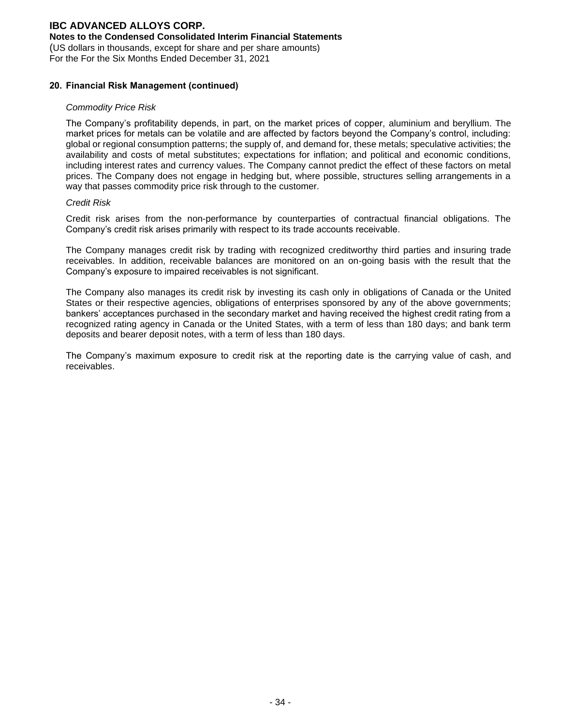### **Notes to the Condensed Consolidated Interim Financial Statements**

(US dollars in thousands, except for share and per share amounts)

For the For the Six Months Ended December 31, 2021

#### **20. Financial Risk Management (continued)**

#### *Commodity Price Risk*

The Company's profitability depends, in part, on the market prices of copper, aluminium and beryllium. The market prices for metals can be volatile and are affected by factors beyond the Company's control, including: global or regional consumption patterns; the supply of, and demand for, these metals; speculative activities; the availability and costs of metal substitutes; expectations for inflation; and political and economic conditions, including interest rates and currency values. The Company cannot predict the effect of these factors on metal prices. The Company does not engage in hedging but, where possible, structures selling arrangements in a way that passes commodity price risk through to the customer.

#### *Credit Risk*

Credit risk arises from the non-performance by counterparties of contractual financial obligations. The Company's credit risk arises primarily with respect to its trade accounts receivable.

The Company manages credit risk by trading with recognized creditworthy third parties and insuring trade receivables. In addition, receivable balances are monitored on an on-going basis with the result that the Company's exposure to impaired receivables is not significant.

The Company also manages its credit risk by investing its cash only in obligations of Canada or the United States or their respective agencies, obligations of enterprises sponsored by any of the above governments; bankers' acceptances purchased in the secondary market and having received the highest credit rating from a recognized rating agency in Canada or the United States, with a term of less than 180 days; and bank term deposits and bearer deposit notes, with a term of less than 180 days.

The Company's maximum exposure to credit risk at the reporting date is the carrying value of cash, and receivables.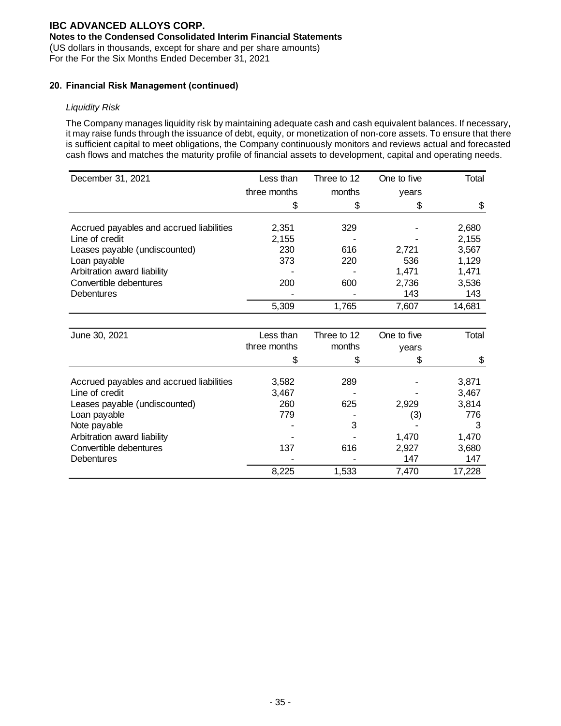### **Notes to the Condensed Consolidated Interim Financial Statements**

(US dollars in thousands, except for share and per share amounts)

For the For the Six Months Ended December 31, 2021

### **20. Financial Risk Management (continued)**

### *Liquidity Risk*

The Company manages liquidity risk by maintaining adequate cash and cash equivalent balances. If necessary, it may raise funds through the issuance of debt, equity, or monetization of non-core assets. To ensure that there is sufficient capital to meet obligations, the Company continuously monitors and reviews actual and forecasted cash flows and matches the maturity profile of financial assets to development, capital and operating needs.

| December 31, 2021                        | Less than    | Three to 12 | One to five | Total  |
|------------------------------------------|--------------|-------------|-------------|--------|
|                                          | three months | months      | years       |        |
|                                          | \$           | \$          | \$          | \$     |
| Accrued payables and accrued liabilities | 2,351        | 329         |             | 2,680  |
| Line of credit                           | 2,155        |             |             | 2,155  |
| Leases payable (undiscounted)            | 230          | 616         | 2,721       | 3,567  |
| Loan payable                             | 373          | 220         | 536         | 1,129  |
| Arbitration award liability              |              |             | 1,471       | 1,471  |
| Convertible debentures                   | 200          | 600         | 2,736       | 3,536  |
| Debentures                               |              |             | 143         | 143    |
|                                          | 5,309        | 1,765       | 7,607       | 14,681 |
|                                          |              |             |             |        |
| June 30, 2021                            | Less than    | Three to 12 | One to five | Total  |
|                                          | three months | months      | years       |        |
|                                          | \$           | \$          | \$          | \$     |
| Accrued payables and accrued liabilities | 3,582        | 289         |             | 3,871  |
| Line of credit                           | 3,467        |             |             | 3,467  |
| Leases payable (undiscounted)            | 260          | 625         | 2,929       | 3,814  |
| Loan payable                             | 779          |             | (3)         | 776    |
| Note payable                             |              | 3           |             | 3      |
| Arbitration award liability              |              |             | 1,470       | 1,470  |
| Convertible debentures                   | 137          | 616         | 2,927       | 3,680  |
| Debentures                               |              |             | 147         | 147    |
|                                          | 8,225        | 1,533       | 7,470       | 17,228 |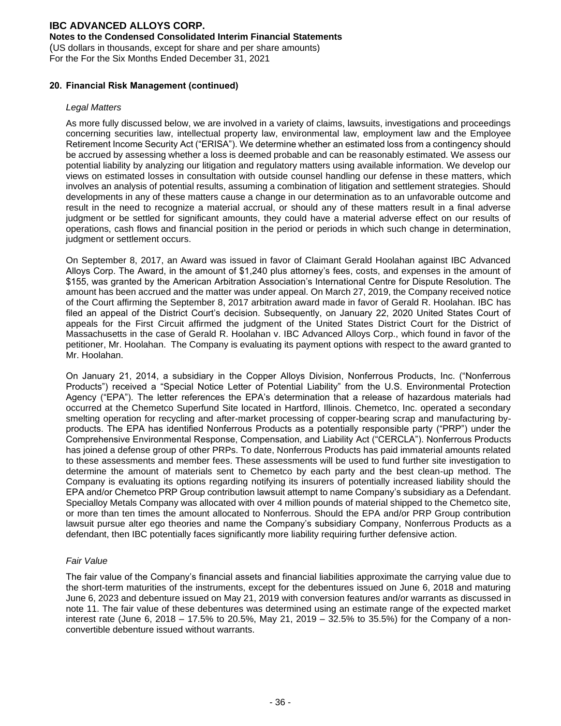### **Notes to the Condensed Consolidated Interim Financial Statements**

(US dollars in thousands, except for share and per share amounts)

For the For the Six Months Ended December 31, 2021

#### **20. Financial Risk Management (continued)**

### *Legal Matters*

As more fully discussed below, we are involved in a variety of claims, lawsuits, investigations and proceedings concerning securities law, intellectual property law, environmental law, employment law and the Employee Retirement Income Security Act ("ERISA"). We determine whether an estimated loss from a contingency should be accrued by assessing whether a loss is deemed probable and can be reasonably estimated. We assess our potential liability by analyzing our litigation and regulatory matters using available information. We develop our views on estimated losses in consultation with outside counsel handling our defense in these matters, which involves an analysis of potential results, assuming a combination of litigation and settlement strategies. Should developments in any of these matters cause a change in our determination as to an unfavorable outcome and result in the need to recognize a material accrual, or should any of these matters result in a final adverse judgment or be settled for significant amounts, they could have a material adverse effect on our results of operations, cash flows and financial position in the period or periods in which such change in determination, judgment or settlement occurs.

On September 8, 2017, an Award was issued in favor of Claimant Gerald Hoolahan against IBC Advanced Alloys Corp. The Award, in the amount of \$1,240 plus attorney's fees, costs, and expenses in the amount of \$155, was granted by the American Arbitration Association's International Centre for Dispute Resolution. The amount has been accrued and the matter was under appeal. On March 27, 2019, the Company received notice of the Court affirming the September 8, 2017 arbitration award made in favor of Gerald R. Hoolahan. IBC has filed an appeal of the District Court's decision. Subsequently, on January 22, 2020 United States Court of appeals for the First Circuit affirmed the judgment of the United States District Court for the District of Massachusetts in the case of Gerald R. Hoolahan v. IBC Advanced Alloys Corp., which found in favor of the petitioner, Mr. Hoolahan. The Company is evaluating its payment options with respect to the award granted to Mr. Hoolahan.

On January 21, 2014, a subsidiary in the Copper Alloys Division, Nonferrous Products, Inc. ("Nonferrous Products") received a "Special Notice Letter of Potential Liability" from the U.S. Environmental Protection Agency ("EPA"). The letter references the EPA's determination that a release of hazardous materials had occurred at the Chemetco Superfund Site located in Hartford, Illinois. Chemetco, Inc. operated a secondary smelting operation for recycling and after-market processing of copper-bearing scrap and manufacturing byproducts. The EPA has identified Nonferrous Products as a potentially responsible party ("PRP") under the Comprehensive Environmental Response, Compensation, and Liability Act ("CERCLA"). Nonferrous Products has joined a defense group of other PRPs. To date, Nonferrous Products has paid immaterial amounts related to these assessments and member fees. These assessments will be used to fund further site investigation to determine the amount of materials sent to Chemetco by each party and the best clean-up method. The Company is evaluating its options regarding notifying its insurers of potentially increased liability should the EPA and/or Chemetco PRP Group contribution lawsuit attempt to name Company's subsidiary as a Defendant. Specialloy Metals Company was allocated with over 4 million pounds of material shipped to the Chemetco site, or more than ten times the amount allocated to Nonferrous. Should the EPA and/or PRP Group contribution lawsuit pursue alter ego theories and name the Company's subsidiary Company, Nonferrous Products as a defendant, then IBC potentially faces significantly more liability requiring further defensive action.

#### *Fair Value*

The fair value of the Company's financial assets and financial liabilities approximate the carrying value due to the short-term maturities of the instruments, except for the debentures issued on June 6, 2018 and maturing June 6, 2023 and debenture issued on May 21, 2019 with conversion features and/or warrants as discussed in note 11. The fair value of these debentures was determined using an estimate range of the expected market interest rate (June 6, 2018 – 17.5% to 20.5%, May 21, 2019 – 32.5% to 35.5%) for the Company of a nonconvertible debenture issued without warrants.